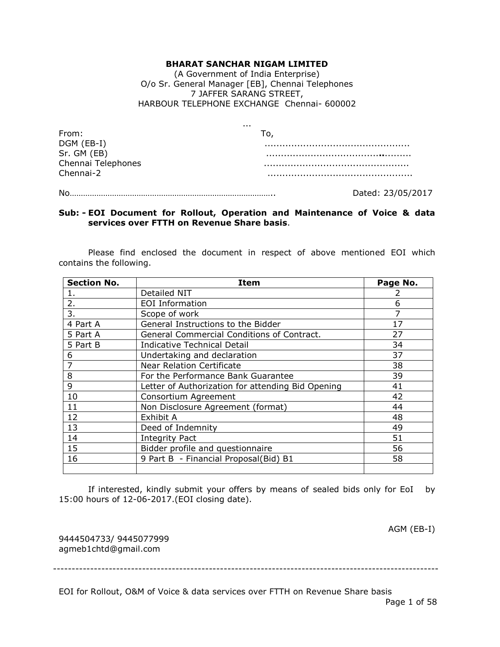#### **BHARAT SANCHAR NIGAM LIMITED**

(A Government of India Enterprise) O/o Sr. General Manager [EB], Chennai Telephones 7 JAFFER SARANG STREET, HARBOUR TELEPHONE EXCHANGE Chennai- 600002

| From:              |  |
|--------------------|--|
| DGM (EB-I)         |  |
| Sr. GM (EB)        |  |
| Chennai Telephones |  |
| Chennai-2          |  |
|                    |  |

No……………………………………………………………………………….. Dated: 23/05/2017

#### **Sub: - EOI Document for Rollout, Operation and Maintenance of Voice & data services over FTTH on Revenue Share basis**.

Please find enclosed the document in respect of above mentioned EOI which contains the following.

| <b>Section No.</b> | Item                                              | Page No. |
|--------------------|---------------------------------------------------|----------|
| 1.                 | Detailed NIT                                      |          |
| 2.                 | <b>EOI</b> Information                            | 6        |
| 3.                 | Scope of work                                     |          |
| 4 Part A           | General Instructions to the Bidder                | 17       |
| 5 Part A           | General Commercial Conditions of Contract.        | 27       |
| 5 Part B           | <b>Indicative Technical Detail</b>                | 34       |
| 6                  | Undertaking and declaration                       | 37       |
| 7                  | <b>Near Relation Certificate</b>                  | 38       |
| 8                  | For the Performance Bank Guarantee                | 39       |
| 9                  | Letter of Authorization for attending Bid Opening | 41       |
| 10                 | Consortium Agreement                              | 42       |
| 11                 | Non Disclosure Agreement (format)                 | 44       |
| 12                 | Exhibit A                                         | 48       |
| 13                 | Deed of Indemnity                                 | 49       |
| 14                 | <b>Integrity Pact</b>                             | 51       |
| 15                 | Bidder profile and questionnaire                  | 56       |
| 16                 | 9 Part B - Financial Proposal(Bid) B1             | 58       |
|                    |                                                   |          |

If interested, kindly submit your offers by means of sealed bids only for EoI by 15:00 hours of 12-06-2017.(EOI closing date).

AGM (EB-I)

9444504733/ 9445077999 agmeb1chtd@gmail.com

--------------------------------------------------------------------------------------------------------

EOI for Rollout, O&M of Voice & data services over FTTH on Revenue Share basis Page 1 of 58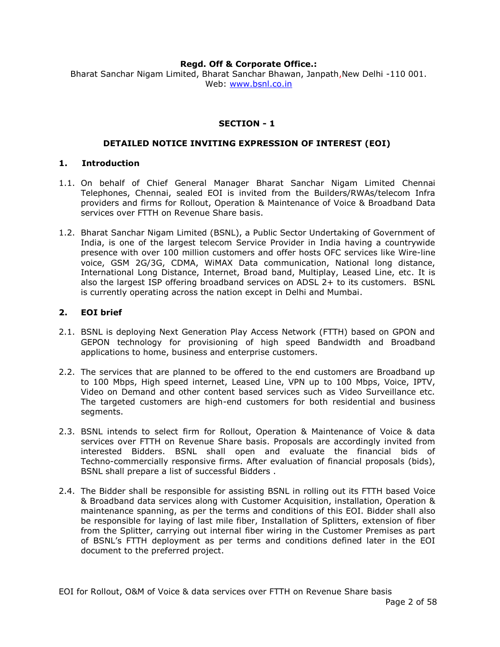#### **Regd. Off & Corporate Office.:**

Bharat Sanchar Nigam Limited, Bharat Sanchar Bhawan, Janpath,New Delhi -110 001. Web: [www.bsnl.co.in](http://www.bsnl.co.in/)

# **SECTION - 1**

#### **DETAILED NOTICE INVITING EXPRESSION OF INTEREST (EOI)**

#### **1. Introduction**

- 1.1. On behalf of Chief General Manager Bharat Sanchar Nigam Limited Chennai Telephones, Chennai, sealed EOI is invited from the Builders/RWAs/telecom Infra providers and firms for Rollout, Operation & Maintenance of Voice & Broadband Data services over FTTH on Revenue Share basis.
- 1.2. Bharat Sanchar Nigam Limited (BSNL), a Public Sector Undertaking of Government of India, is one of the largest telecom Service Provider in India having a countrywide presence with over 100 million customers and offer hosts OFC services like Wire-line voice, GSM 2G/3G, CDMA, WiMAX Data communication, National long distance, International Long Distance, Internet, Broad band, Multiplay, Leased Line, etc. It is also the largest ISP offering broadband services on ADSL 2+ to its customers. BSNL is currently operating across the nation except in Delhi and Mumbai.

#### **2. EOI brief**

- 2.1. BSNL is deploying Next Generation Play Access Network (FTTH) based on GPON and GEPON technology for provisioning of high speed Bandwidth and Broadband applications to home, business and enterprise customers.
- 2.2. The services that are planned to be offered to the end customers are Broadband up to 100 Mbps, High speed internet, Leased Line, VPN up to 100 Mbps, Voice, IPTV, Video on Demand and other content based services such as Video Surveillance etc. The targeted customers are high-end customers for both residential and business segments.
- 2.3. BSNL intends to select firm for Rollout, Operation & Maintenance of Voice & data services over FTTH on Revenue Share basis. Proposals are accordingly invited from interested Bidders. BSNL shall open and evaluate the financial bids of Techno-commercially responsive firms. After evaluation of financial proposals (bids), BSNL shall prepare a list of successful Bidders .
- 2.4. The Bidder shall be responsible for assisting BSNL in rolling out its FTTH based Voice & Broadband data services along with Customer Acquisition, installation, Operation & maintenance spanning, as per the terms and conditions of this EOI. Bidder shall also be responsible for laying of last mile fiber, Installation of Splitters, extension of fiber from the Splitter, carrying out internal fiber wiring in the Customer Premises as part of BSNL's FTTH deployment as per terms and conditions defined later in the EOI document to the preferred project.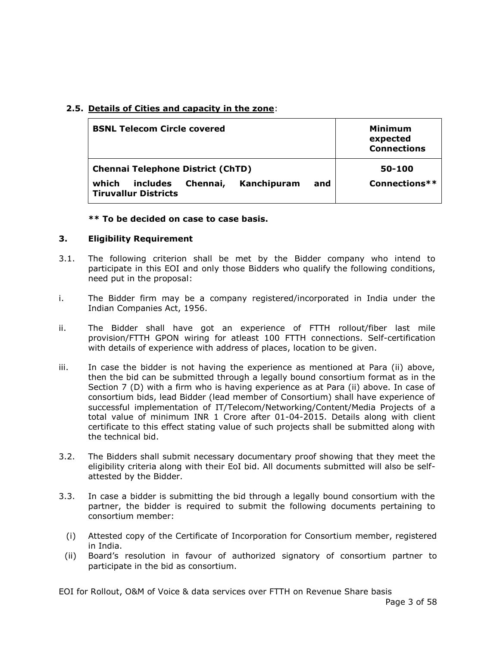# **2.5. Details of Cities and capacity in the zone**:

| <b>BSNL Telecom Circle covered</b>                                                                                             | Minimum<br>expected<br><b>Connections</b> |
|--------------------------------------------------------------------------------------------------------------------------------|-------------------------------------------|
| <b>Chennai Telephone District (ChTD)</b><br>which<br>Kanchipuram<br>and<br>Chennai,<br>includes<br><b>Tiruvallur Districts</b> | 50-100<br>Connections $**$                |

# **\*\* To be decided on case to case basis.**

# **3. Eligibility Requirement**

- 3.1. The following criterion shall be met by the Bidder company who intend to participate in this EOI and only those Bidders who qualify the following conditions, need put in the proposal:
- i. The Bidder firm may be a company registered/incorporated in India under the Indian Companies Act, 1956.
- ii. The Bidder shall have got an experience of FTTH rollout/fiber last mile provision/FTTH GPON wiring for atleast 100 FTTH connections. Self-certification with details of experience with address of places, location to be given.
- iii. In case the bidder is not having the experience as mentioned at Para (ii) above, then the bid can be submitted through a legally bound consortium format as in the Section 7 (D) with a firm who is having experience as at Para (ii) above. In case of consortium bids, lead Bidder (lead member of Consortium) shall have experience of successful implementation of IT/Telecom/Networking/Content/Media Projects of a total value of minimum INR 1 Crore after 01-04-2015. Details along with client certificate to this effect stating value of such projects shall be submitted along with the technical bid.
- 3.2. The Bidders shall submit necessary documentary proof showing that they meet the eligibility criteria along with their EoI bid. All documents submitted will also be selfattested by the Bidder.
- 3.3. In case a bidder is submitting the bid through a legally bound consortium with the partner, the bidder is required to submit the following documents pertaining to consortium member:
	- (i) Attested copy of the Certificate of Incorporation for Consortium member, registered in India.
	- (ii) Board's resolution in favour of authorized signatory of consortium partner to participate in the bid as consortium.

EOI for Rollout, O&M of Voice & data services over FTTH on Revenue Share basis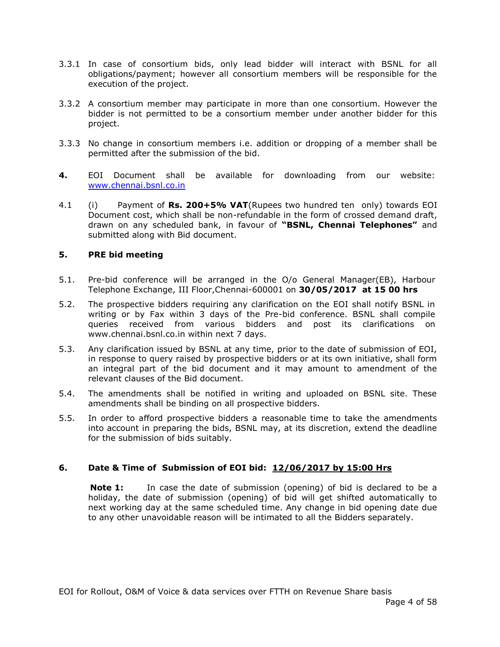- 3.3.1 In case of consortium bids, only lead bidder will interact with BSNL for all obligations/payment; however all consortium members will be responsible for the execution of the project.
- 3.3.2 A consortium member may participate in more than one consortium. However the bidder is not permitted to be a consortium member under another bidder for this project.
- 3.3.3 No change in consortium members i.e. addition or dropping of a member shall be permitted after the submission of the bid.
- **4.** EOI Document shall be available for downloading from our website: [www.chennai.bsnl.co.in](http://www.chennai.bsnl.co.in/)
- 4.1 (i) Payment of **Rs. 200+5% VAT**(Rupees two hundred ten only) towards EOI Document cost, which shall be non-refundable in the form of crossed demand draft, drawn on any scheduled bank, in favour of **"BSNL, Chennai Telephones"** and submitted along with Bid document.

# **5. PRE bid meeting**

- 5.1. Pre-bid conference will be arranged in the O/o General Manager(EB), Harbour Telephone Exchange, III Floor,Chennai-600001 on **30/05/2017 at 15 00 hrs**
- 5.2. The prospective bidders requiring any clarification on the EOI shall notify BSNL in writing or by Fax within 3 days of the Pre-bid conference. BSNL shall compile queries received from various bidders and post its clarifications on www.chennai.bsnl.co.in within next 7 days.
- 5.3. Any clarification issued by BSNL at any time, prior to the date of submission of EOI, in response to query raised by prospective bidders or at its own initiative, shall form an integral part of the bid document and it may amount to amendment of the relevant clauses of the Bid document.
- 5.4. The amendments shall be notified in writing and uploaded on BSNL site. These amendments shall be binding on all prospective bidders.
- 5.5. In order to afford prospective bidders a reasonable time to take the amendments into account in preparing the bids, BSNL may, at its discretion, extend the deadline for the submission of bids suitably.

#### **6. Date & Time of Submission of EOI bid: 12/06/2017 by 15:00 Hrs**

**Note 1:** In case the date of submission (opening) of bid is declared to be a holiday, the date of submission (opening) of bid will get shifted automatically to next working day at the same scheduled time. Any change in bid opening date due to any other unavoidable reason will be intimated to all the Bidders separately.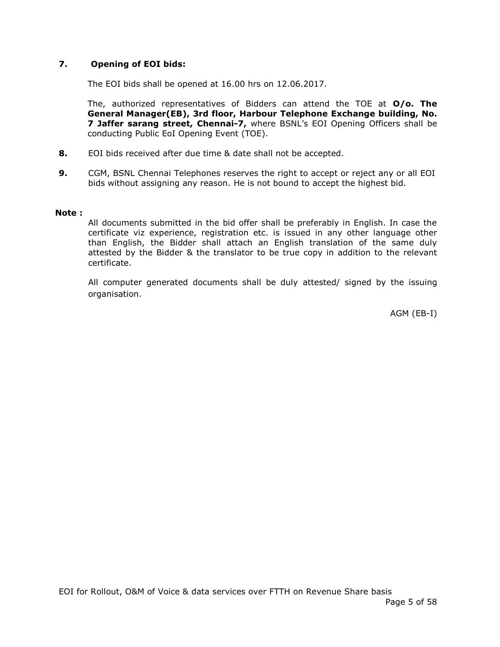# **7. Opening of EOI bids:**

The EOI bids shall be opened at 16.00 hrs on 12.06.2017.

The, authorized representatives of Bidders can attend the TOE at **O/o. The General Manager(EB), 3rd floor, Harbour Telephone Exchange building, No. 7 Jaffer sarang street, Chennai-7,** where BSNL's EOI Opening Officers shall be conducting Public EoI Opening Event (TOE).

- **8.** EOI bids received after due time & date shall not be accepted.
- **9.** CGM, BSNL Chennai Telephones reserves the right to accept or reject any or all EOI bids without assigning any reason. He is not bound to accept the highest bid.

#### **Note :**

All documents submitted in the bid offer shall be preferably in English. In case the certificate viz experience, registration etc. is issued in any other language other than English, the Bidder shall attach an English translation of the same duly attested by the Bidder & the translator to be true copy in addition to the relevant certificate.

All computer generated documents shall be duly attested/ signed by the issuing organisation.

AGM (EB-I)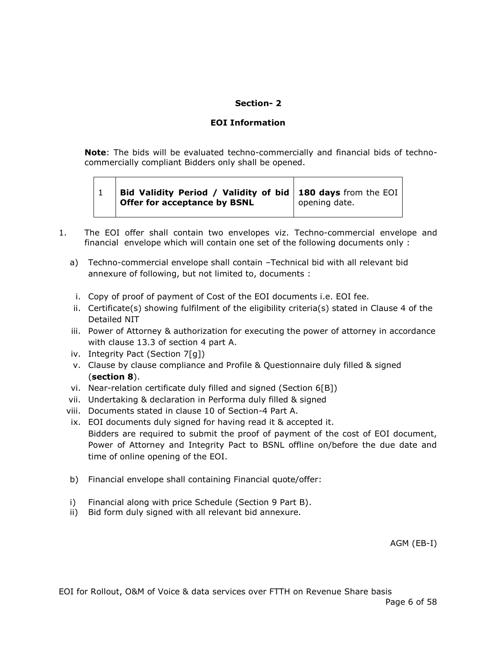# **Section- 2**

#### **EOI Information**

**Note**: The bids will be evaluated techno-commercially and financial bids of technocommercially compliant Bidders only shall be opened.

| $'$ Bid Validity Period / Validity of bid   180 days from the EOI  <br>Offer for acceptance by BSNL | opening date. |
|-----------------------------------------------------------------------------------------------------|---------------|
|                                                                                                     |               |

- 1. The EOI offer shall contain two envelopes viz. Techno-commercial envelope and financial envelope which will contain one set of the following documents only :
	- a) Techno-commercial envelope shall contain –Technical bid with all relevant bid annexure of following, but not limited to, documents :
	- i. Copy of proof of payment of Cost of the EOI documents i.e. EOI fee.
	- ii. Certificate(s) showing fulfilment of the eligibility criteria(s) stated in Clause 4 of the Detailed NIT
	- iii. Power of Attorney & authorization for executing the power of attorney in accordance with clause 13.3 of section 4 part A.
	- iv. Integrity Pact (Section 7[g])
	- v. Clause by clause compliance and Profile & Questionnaire duly filled & signed (**section 8**).
	- vi. Near-relation certificate duly filled and signed (Section 6[B])
	- vii. Undertaking & declaration in Performa duly filled & signed
	- viii. Documents stated in clause 10 of Section-4 Part A.
	- ix. EOI documents duly signed for having read it & accepted it. Bidders are required to submit the proof of payment of the cost of EOI document, Power of Attorney and Integrity Pact to BSNL offline on/before the due date and time of online opening of the EOI.
	- b) Financial envelope shall containing Financial quote/offer:
	- i) Financial along with price Schedule (Section 9 Part B).
	- ii) Bid form duly signed with all relevant bid annexure.

AGM (EB-I)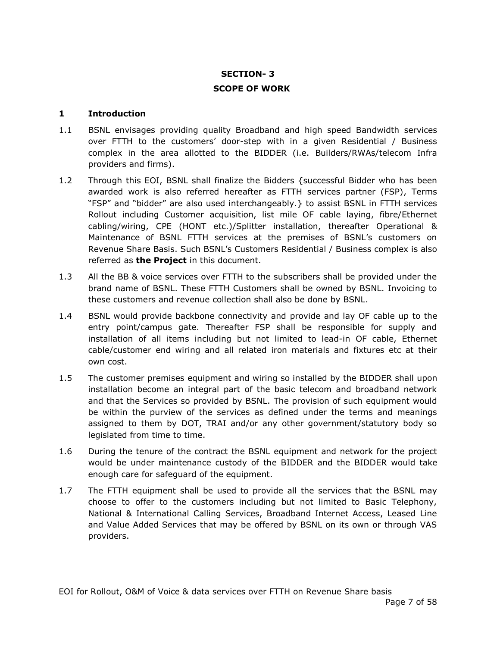# **SECTION- 3 SCOPE OF WORK**

#### **1 Introduction**

- 1.1 BSNL envisages providing quality Broadband and high speed Bandwidth services over FTTH to the customers' door-step with in a given Residential / Business complex in the area allotted to the BIDDER (i.e. Builders/RWAs/telecom Infra providers and firms).
- 1.2 Through this EOI, BSNL shall finalize the Bidders {successful Bidder who has been awarded work is also referred hereafter as FTTH services partner (FSP), Terms "FSP" and "bidder" are also used interchangeably.} to assist BSNL in FTTH services Rollout including Customer acquisition, list mile OF cable laying, fibre/Ethernet cabling/wiring, CPE (HONT etc.)/Splitter installation, thereafter Operational & Maintenance of BSNL FTTH services at the premises of BSNL's customers on Revenue Share Basis. Such BSNL's Customers Residential / Business complex is also referred as **the Project** in this document.
- 1.3 All the BB & voice services over FTTH to the subscribers shall be provided under the brand name of BSNL. These FTTH Customers shall be owned by BSNL. Invoicing to these customers and revenue collection shall also be done by BSNL.
- 1.4 BSNL would provide backbone connectivity and provide and lay OF cable up to the entry point/campus gate. Thereafter FSP shall be responsible for supply and installation of all items including but not limited to lead-in OF cable, Ethernet cable/customer end wiring and all related iron materials and fixtures etc at their own cost.
- 1.5 The customer premises equipment and wiring so installed by the BIDDER shall upon installation become an integral part of the basic telecom and broadband network and that the Services so provided by BSNL. The provision of such equipment would be within the purview of the services as defined under the terms and meanings assigned to them by DOT, TRAI and/or any other government/statutory body so legislated from time to time.
- 1.6 During the tenure of the contract the BSNL equipment and network for the project would be under maintenance custody of the BIDDER and the BIDDER would take enough care for safeguard of the equipment.
- 1.7 The FTTH equipment shall be used to provide all the services that the BSNL may choose to offer to the customers including but not limited to Basic Telephony, National & International Calling Services, Broadband Internet Access, Leased Line and Value Added Services that may be offered by BSNL on its own or through VAS providers.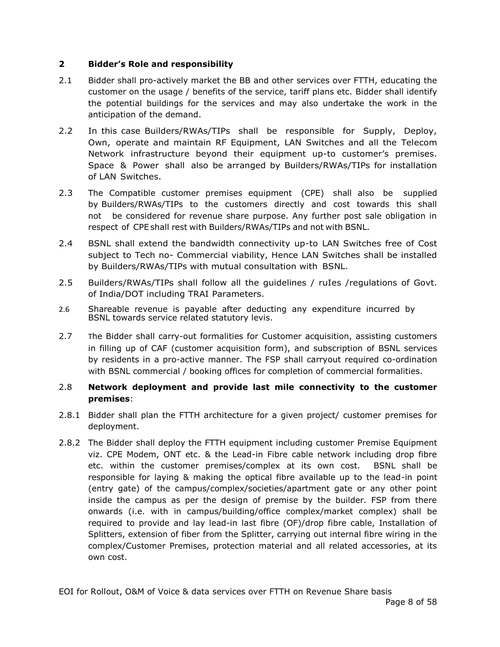# **2 Bidder's Role and responsibility**

- 2.1 Bidder shall pro-actively market the BB and other services over FTTH, educating the customer on the usage / benefits of the service, tariff plans etc. Bidder shall identify the potential buildings for the services and may also undertake the work in the anticipation of the demand.
- 2.2 In this case Builders/RWAs/TIPs shall be responsible for Supply, Deploy, Own, operate and maintain RF Equipment, LAN Switches and all the Telecom Network infrastructure beyond their equipment up-to customer's premises. Space & Power shall also be arranged by Builders/RWAs/TIPs for installation of LAN Switches.
- 2.3 The Compatible customer premises equipment (CPE) shall also be supplied by Builders/RWAs/TIPs to the customers directly and cost towards this shall not be considered for revenue share purpose. Any further post sale obligation in respect of CPE shall rest with Builders/RWAs/TIPs and not with BSNL.
- 2.4 BSNL shall extend the bandwidth connectivity up-to LAN Switches free of Cost subject to Tech no- Commercial viability, Hence LAN Switches shall be installed by Builders/RWAs/TIPs with mutual consultation with BSNL.
- 2.5 Builders/RWAs/TIPs shall follow all the guidelines / ruIes /regulations of Govt. of India/DOT including TRAI Parameters.
- 2.6 Shareable revenue is payable after deducting any expenditure incurred by BSNL towards service related statutory levis.
- 2.7 The Bidder shall carry-out formalities for Customer acquisition, assisting customers in filling up of CAF (customer acquisition form), and subscription of BSNL services by residents in a pro-active manner. The FSP shall carryout required co-ordination with BSNL commercial / booking offices for completion of commercial formalities.

# 2.8 **Network deployment and provide last mile connectivity to the customer premises**:

- 2.8.1 Bidder shall plan the FTTH architecture for a given project/ customer premises for deployment.
- 2.8.2 The Bidder shall deploy the FTTH equipment including customer Premise Equipment viz. CPE Modem, ONT etc. & the Lead-in Fibre cable network including drop fibre etc. within the customer premises/complex at its own cost. BSNL shall be responsible for laying & making the optical fibre available up to the lead-in point (entry gate) of the campus/complex/societies/apartment gate or any other point inside the campus as per the design of premise by the builder. FSP from there onwards (i.e. with in campus/building/office complex/market complex) shall be required to provide and lay lead-in last fibre (OF)/drop fibre cable, Installation of Splitters, extension of fiber from the Splitter, carrying out internal fibre wiring in the complex/Customer Premises, protection material and all related accessories, at its own cost.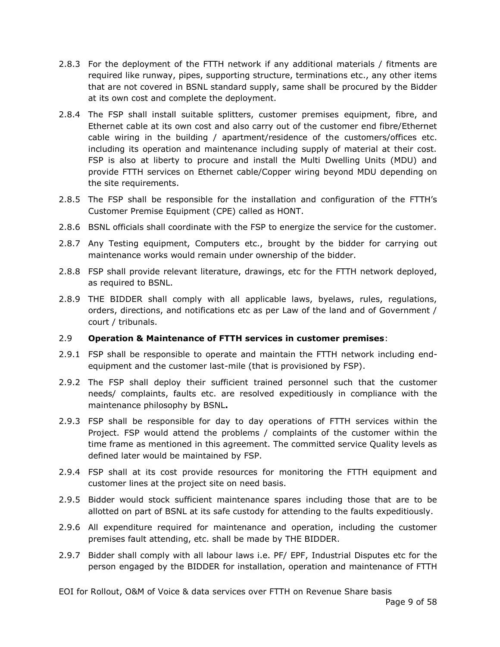- 2.8.3 For the deployment of the FTTH network if any additional materials / fitments are required like runway, pipes, supporting structure, terminations etc., any other items that are not covered in BSNL standard supply, same shall be procured by the Bidder at its own cost and complete the deployment.
- 2.8.4 The FSP shall install suitable splitters, customer premises equipment, fibre, and Ethernet cable at its own cost and also carry out of the customer end fibre/Ethernet cable wiring in the building / apartment/residence of the customers/offices etc. including its operation and maintenance including supply of material at their cost. FSP is also at liberty to procure and install the Multi Dwelling Units (MDU) and provide FTTH services on Ethernet cable/Copper wiring beyond MDU depending on the site requirements.
- 2.8.5 The FSP shall be responsible for the installation and configuration of the FTTH's Customer Premise Equipment (CPE) called as HONT.
- 2.8.6 BSNL officials shall coordinate with the FSP to energize the service for the customer.
- 2.8.7 Any Testing equipment, Computers etc., brought by the bidder for carrying out maintenance works would remain under ownership of the bidder.
- 2.8.8 FSP shall provide relevant literature, drawings, etc for the FTTH network deployed, as required to BSNL.
- 2.8.9 THE BIDDER shall comply with all applicable laws, byelaws, rules, regulations, orders, directions, and notifications etc as per Law of the land and of Government / court / tribunals.

# 2.9 **Operation & Maintenance of FTTH services in customer premises**:

- 2.9.1 FSP shall be responsible to operate and maintain the FTTH network including endequipment and the customer last-mile (that is provisioned by FSP).
- 2.9.2 The FSP shall deploy their sufficient trained personnel such that the customer needs/ complaints, faults etc. are resolved expeditiously in compliance with the maintenance philosophy by BSNL**.**
- 2.9.3 FSP shall be responsible for day to day operations of FTTH services within the Project. FSP would attend the problems / complaints of the customer within the time frame as mentioned in this agreement. The committed service Quality levels as defined later would be maintained by FSP.
- 2.9.4 FSP shall at its cost provide resources for monitoring the FTTH equipment and customer lines at the project site on need basis.
- 2.9.5 Bidder would stock sufficient maintenance spares including those that are to be allotted on part of BSNL at its safe custody for attending to the faults expeditiously.
- 2.9.6 All expenditure required for maintenance and operation, including the customer premises fault attending, etc. shall be made by THE BIDDER.
- 2.9.7 Bidder shall comply with all labour laws i.e. PF/ EPF, Industrial Disputes etc for the person engaged by the BIDDER for installation, operation and maintenance of FTTH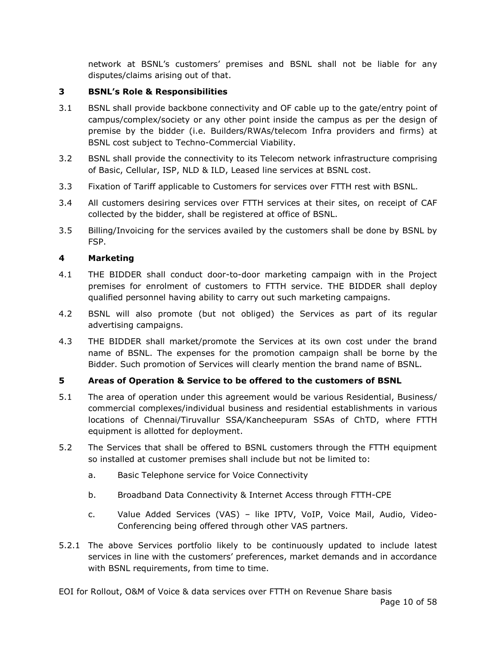network at BSNL's customers' premises and BSNL shall not be liable for any disputes/claims arising out of that.

# **3 BSNL's Role & Responsibilities**

- 3.1 BSNL shall provide backbone connectivity and OF cable up to the gate/entry point of campus/complex/society or any other point inside the campus as per the design of premise by the bidder (i.e. Builders/RWAs/telecom Infra providers and firms) at BSNL cost subject to Techno-Commercial Viability.
- 3.2 BSNL shall provide the connectivity to its Telecom network infrastructure comprising of Basic, Cellular, ISP, NLD & ILD, Leased line services at BSNL cost.
- 3.3 Fixation of Tariff applicable to Customers for services over FTTH rest with BSNL.
- 3.4 All customers desiring services over FTTH services at their sites, on receipt of CAF collected by the bidder, shall be registered at office of BSNL.
- 3.5 Billing/Invoicing for the services availed by the customers shall be done by BSNL by FSP.

# **4 Marketing**

- 4.1 THE BIDDER shall conduct door-to-door marketing campaign with in the Project premises for enrolment of customers to FTTH service. THE BIDDER shall deploy qualified personnel having ability to carry out such marketing campaigns.
- 4.2 BSNL will also promote (but not obliged) the Services as part of its regular advertising campaigns.
- 4.3 THE BIDDER shall market/promote the Services at its own cost under the brand name of BSNL. The expenses for the promotion campaign shall be borne by the Bidder. Such promotion of Services will clearly mention the brand name of BSNL.

# **5 Areas of Operation & Service to be offered to the customers of BSNL**

- 5.1 The area of operation under this agreement would be various Residential, Business/ commercial complexes/individual business and residential establishments in various locations of Chennai/Tiruvallur SSA/Kancheepuram SSAs of ChTD, where FTTH equipment is allotted for deployment.
- 5.2 The Services that shall be offered to BSNL customers through the FTTH equipment so installed at customer premises shall include but not be limited to:
	- a. Basic Telephone service for Voice Connectivity
	- b. Broadband Data Connectivity & Internet Access through FTTH-CPE
	- c. Value Added Services (VAS) like IPTV, VoIP, Voice Mail, Audio, Video-Conferencing being offered through other VAS partners.
- 5.2.1 The above Services portfolio likely to be continuously updated to include latest services in line with the customers' preferences, market demands and in accordance with BSNL requirements, from time to time.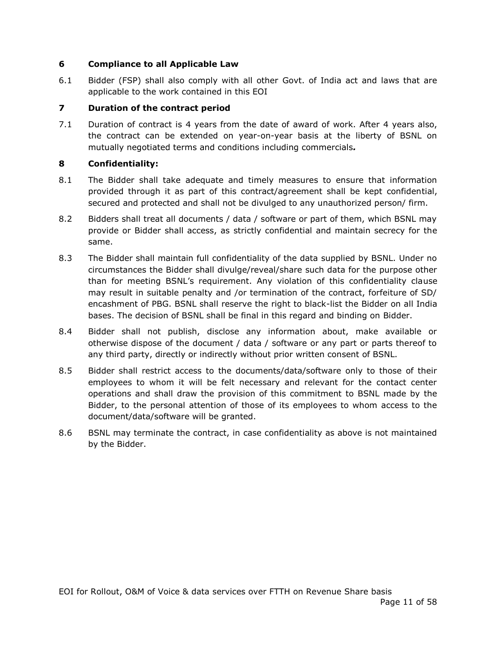# **6 Compliance to all Applicable Law**

6.1 Bidder (FSP) shall also comply with all other Govt. of India act and laws that are applicable to the work contained in this EOI

# **7 Duration of the contract period**

7.1 Duration of contract is 4 years from the date of award of work. After 4 years also, the contract can be extended on year-on-year basis at the liberty of BSNL on mutually negotiated terms and conditions including commercials*.* 

# **8 Confidentiality:**

- 8.1 The Bidder shall take adequate and timely measures to ensure that information provided through it as part of this contract/agreement shall be kept confidential, secured and protected and shall not be divulged to any unauthorized person/ firm.
- 8.2 Bidders shall treat all documents / data / software or part of them, which BSNL may provide or Bidder shall access, as strictly confidential and maintain secrecy for the same.
- 8.3 The Bidder shall maintain full confidentiality of the data supplied by BSNL. Under no circumstances the Bidder shall divulge/reveal/share such data for the purpose other than for meeting BSNL's requirement. Any violation of this confidentiality clause may result in suitable penalty and /or termination of the contract, forfeiture of SD/ encashment of PBG. BSNL shall reserve the right to black-list the Bidder on all India bases. The decision of BSNL shall be final in this regard and binding on Bidder.
- 8.4 Bidder shall not publish, disclose any information about, make available or otherwise dispose of the document / data / software or any part or parts thereof to any third party, directly or indirectly without prior written consent of BSNL.
- 8.5 Bidder shall restrict access to the documents/data/software only to those of their employees to whom it will be felt necessary and relevant for the contact center operations and shall draw the provision of this commitment to BSNL made by the Bidder, to the personal attention of those of its employees to whom access to the document/data/software will be granted.
- 8.6 BSNL may terminate the contract, in case confidentiality as above is not maintained by the Bidder.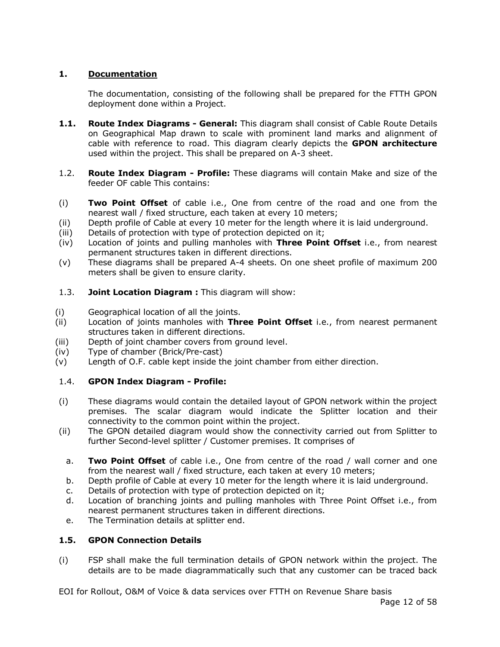# **1. Documentation**

The documentation, consisting of the following shall be prepared for the FTTH GPON deployment done within a Project.

- **1.1. Route Index Diagrams - General:** This diagram shall consist of Cable Route Details on Geographical Map drawn to scale with prominent land marks and alignment of cable with reference to road. This diagram clearly depicts the **GPON architecture** used within the project. This shall be prepared on A-3 sheet.
- 1.2. **Route Index Diagram - Profile:** These diagrams will contain Make and size of the feeder OF cable This contains:
- (i) **Two Point Offset** of cable i.e., One from centre of the road and one from the nearest wall / fixed structure, each taken at every 10 meters;
- (ii) Depth profile of Cable at every 10 meter for the length where it is laid underground.
- (iii) Details of protection with type of protection depicted on it;
- (iv) Location of joints and pulling manholes with **Three Point Offset** i.e., from nearest permanent structures taken in different directions.
- (v) These diagrams shall be prepared A-4 sheets. On one sheet profile of maximum 200 meters shall be given to ensure clarity.
- 1.3. **Joint Location Diagram :** This diagram will show:
- (i) Geographical location of all the joints.
- (ii) Location of joints manholes with **Three Point Offset** i.e., from nearest permanent structures taken in different directions.
- (iii) Depth of joint chamber covers from ground level.
- (iv) Type of chamber (Brick/Pre-cast)
- (v) Length of O.F. cable kept inside the joint chamber from either direction.

# 1.4. **GPON Index Diagram - Profile:**

- (i) These diagrams would contain the detailed layout of GPON network within the project premises. The scalar diagram would indicate the Splitter location and their connectivity to the common point within the project.
- (ii) The GPON detailed diagram would show the connectivity carried out from Splitter to further Second-level splitter / Customer premises. It comprises of
	- a. **Two Point Offset** of cable i.e., One from centre of the road / wall corner and one from the nearest wall / fixed structure, each taken at every 10 meters;
	- b. Depth profile of Cable at every 10 meter for the length where it is laid underground.
	- c. Details of protection with type of protection depicted on it;
	- d. Location of branching joints and pulling manholes with Three Point Offset i.e., from nearest permanent structures taken in different directions.
	- e. The Termination details at splitter end.

# **1.5. GPON Connection Details**

(i) FSP shall make the full termination details of GPON network within the project. The details are to be made diagrammatically such that any customer can be traced back

EOI for Rollout, O&M of Voice & data services over FTTH on Revenue Share basis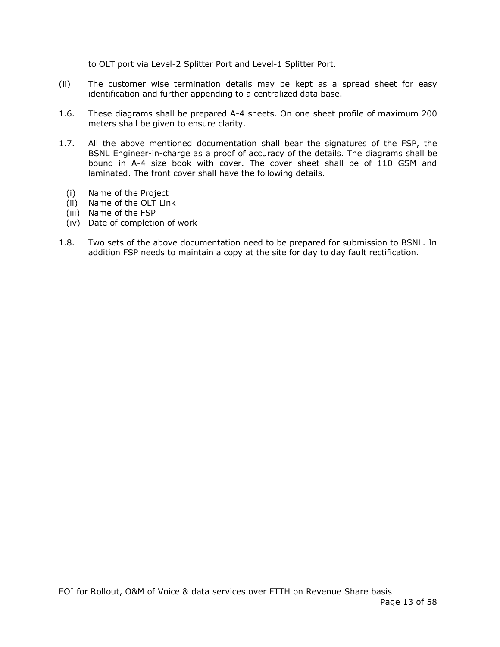to OLT port via Level-2 Splitter Port and Level-1 Splitter Port.

- (ii) The customer wise termination details may be kept as a spread sheet for easy identification and further appending to a centralized data base.
- 1.6. These diagrams shall be prepared A-4 sheets. On one sheet profile of maximum 200 meters shall be given to ensure clarity.
- 1.7. All the above mentioned documentation shall bear the signatures of the FSP, the BSNL Engineer-in-charge as a proof of accuracy of the details. The diagrams shall be bound in A-4 size book with cover. The cover sheet shall be of 110 GSM and laminated. The front cover shall have the following details.
	- (i) Name of the Project
	- (ii) Name of the OLT Link
	- (iii) Name of the FSP
	- (iv) Date of completion of work
- 1.8. Two sets of the above documentation need to be prepared for submission to BSNL. In addition FSP needs to maintain a copy at the site for day to day fault rectification.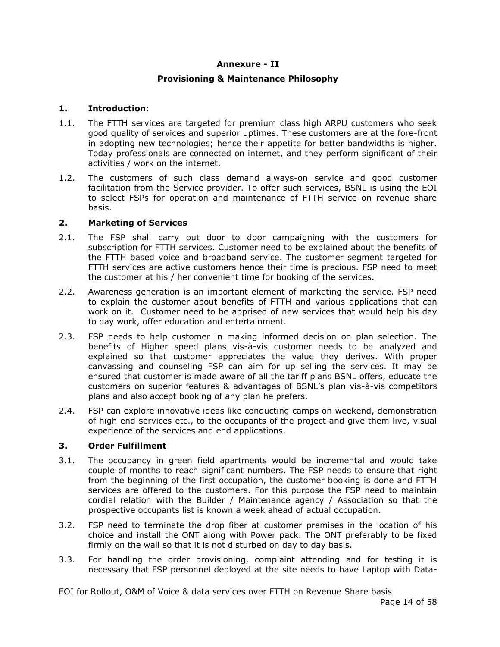#### **Annexure - II**

### **Provisioning & Maintenance Philosophy**

#### **1. Introduction**:

- 1.1. The FTTH services are targeted for premium class high ARPU customers who seek good quality of services and superior uptimes. These customers are at the fore-front in adopting new technologies; hence their appetite for better bandwidths is higher. Today professionals are connected on internet, and they perform significant of their activities / work on the internet.
- 1.2. The customers of such class demand always-on service and good customer facilitation from the Service provider. To offer such services, BSNL is using the EOI to select FSPs for operation and maintenance of FTTH service on revenue share basis.

#### **2. Marketing of Services**

- 2.1. The FSP shall carry out door to door campaigning with the customers for subscription for FTTH services. Customer need to be explained about the benefits of the FTTH based voice and broadband service. The customer segment targeted for FTTH services are active customers hence their time is precious. FSP need to meet the customer at his / her convenient time for booking of the services.
- 2.2. Awareness generation is an important element of marketing the service. FSP need to explain the customer about benefits of FTTH and various applications that can work on it. Customer need to be apprised of new services that would help his day to day work, offer education and entertainment.
- 2.3. FSP needs to help customer in making informed decision on plan selection. The benefits of Higher speed plans vis-à-vis customer needs to be analyzed and explained so that customer appreciates the value they derives. With proper canvassing and counseling FSP can aim for up selling the services. It may be ensured that customer is made aware of all the tariff plans BSNL offers, educate the customers on superior features & advantages of BSNL's plan vis-à-vis competitors plans and also accept booking of any plan he prefers.
- 2.4. FSP can explore innovative ideas like conducting camps on weekend, demonstration of high end services etc., to the occupants of the project and give them live, visual experience of the services and end applications.

# **3. Order Fulfillment**

- 3.1. The occupancy in green field apartments would be incremental and would take couple of months to reach significant numbers. The FSP needs to ensure that right from the beginning of the first occupation, the customer booking is done and FTTH services are offered to the customers. For this purpose the FSP need to maintain cordial relation with the Builder / Maintenance agency / Association so that the prospective occupants list is known a week ahead of actual occupation.
- 3.2. FSP need to terminate the drop fiber at customer premises in the location of his choice and install the ONT along with Power pack. The ONT preferably to be fixed firmly on the wall so that it is not disturbed on day to day basis.
- 3.3. For handling the order provisioning, complaint attending and for testing it is necessary that FSP personnel deployed at the site needs to have Laptop with Data-

EOI for Rollout, O&M of Voice & data services over FTTH on Revenue Share basis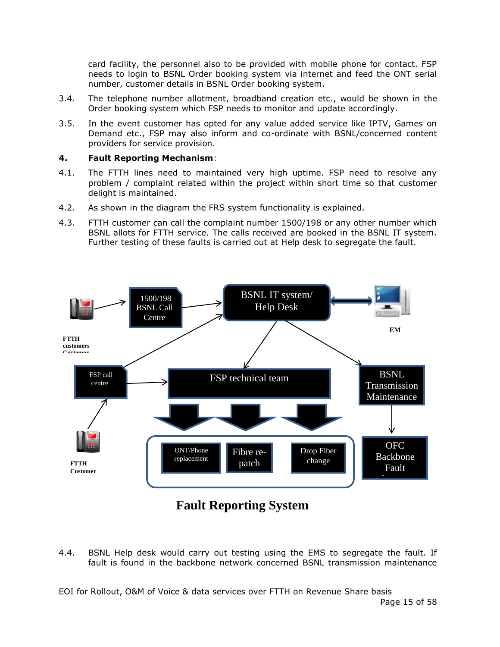card facility, the personnel also to be provided with mobile phone for contact. FSP needs to login to BSNL Order booking system via internet and feed the ONT serial number, customer details in BSNL Order booking system.

- 3.4. The telephone number allotment, broadband creation etc., would be shown in the Order booking system which FSP needs to monitor and update accordingly.
- 3.5. In the event customer has opted for any value added service like IPTV, Games on Demand etc., FSP may also inform and co-ordinate with BSNL/concerned content providers for service provision.

# **4. Fault Reporting Mechanism**:

- 4.1. The FTTH lines need to maintained very high uptime. FSP need to resolve any problem / complaint related within the project within short time so that customer delight is maintained.
- 4.2. As shown in the diagram the FRS system functionality is explained.
- 4.3. FTTH customer can call the complaint number 1500/198 or any other number which BSNL allots for FTTH service. The calls received are booked in the BSNL IT system. Further testing of these faults is carried out at Help desk to segregate the fault.



# **Fault Reporting System**

4.4. BSNL Help desk would carry out testing using the EMS to segregate the fault. If fault is found in the backbone network concerned BSNL transmission maintenance

EOI for Rollout, O&M of Voice & data services over FTTH on Revenue Share basis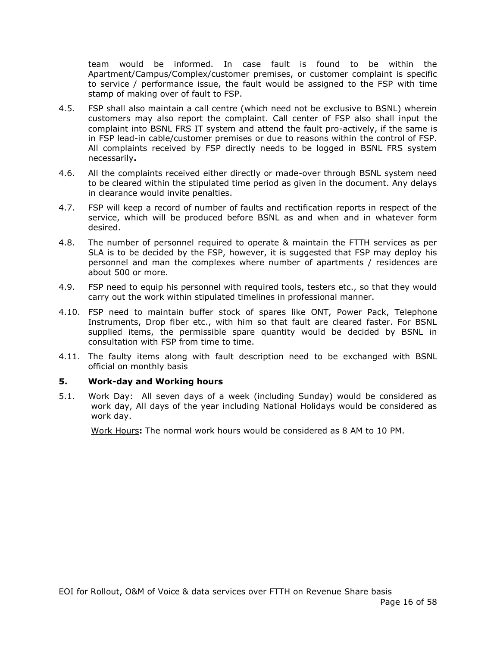team would be informed. In case fault is found to be within the Apartment/Campus/Complex/customer premises, or customer complaint is specific to service / performance issue, the fault would be assigned to the FSP with time stamp of making over of fault to FSP.

- 4.5. FSP shall also maintain a call centre (which need not be exclusive to BSNL) wherein customers may also report the complaint. Call center of FSP also shall input the complaint into BSNL FRS IT system and attend the fault pro-actively, if the same is in FSP lead-in cable/customer premises or due to reasons within the control of FSP. All complaints received by FSP directly needs to be logged in BSNL FRS system necessarily**.**
- 4.6. All the complaints received either directly or made-over through BSNL system need to be cleared within the stipulated time period as given in the document. Any delays in clearance would invite penalties.
- 4.7. FSP will keep a record of number of faults and rectification reports in respect of the service, which will be produced before BSNL as and when and in whatever form desired.
- 4.8. The number of personnel required to operate & maintain the FTTH services as per SLA is to be decided by the FSP, however, it is suggested that FSP may deploy his personnel and man the complexes where number of apartments / residences are about 500 or more.
- 4.9. FSP need to equip his personnel with required tools, testers etc., so that they would carry out the work within stipulated timelines in professional manner.
- 4.10. FSP need to maintain buffer stock of spares like ONT, Power Pack, Telephone Instruments, Drop fiber etc., with him so that fault are cleared faster. For BSNL supplied items, the permissible spare quantity would be decided by BSNL in consultation with FSP from time to time.
- 4.11. The faulty items along with fault description need to be exchanged with BSNL official on monthly basis

#### **5. Work-day and Working hours**

5.1. Work Day: All seven days of a week (including Sunday) would be considered as work day, All days of the year including National Holidays would be considered as work day.

Work Hours**:** The normal work hours would be considered as 8 AM to 10 PM.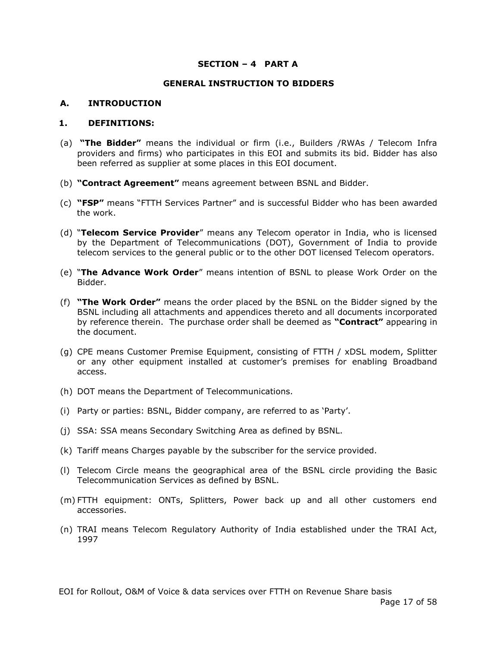#### **SECTION – 4 PART A**

#### **GENERAL INSTRUCTION TO BIDDERS**

#### **A. INTRODUCTION**

#### **1. DEFINITIONS:**

- (a) **"The Bidder"** means the individual or firm (i.e., Builders /RWAs / Telecom Infra providers and firms) who participates in this EOI and submits its bid. Bidder has also been referred as supplier at some places in this EOI document.
- (b) **"Contract Agreement"** means agreement between BSNL and Bidder.
- (c) **"FSP"** means "FTTH Services Partner" and is successful Bidder who has been awarded the work.
- (d) "**Telecom Service Provider**" means any Telecom operator in India, who is licensed by the Department of Telecommunications (DOT), Government of India to provide telecom services to the general public or to the other DOT licensed Telecom operators.
- (e) "**The Advance Work Order**" means intention of BSNL to please Work Order on the Bidder.
- (f) **"The Work Order"** means the order placed by the BSNL on the Bidder signed by the BSNL including all attachments and appendices thereto and all documents incorporated by reference therein. The purchase order shall be deemed as **"Contract"** appearing in the document.
- (g) CPE means Customer Premise Equipment, consisting of FTTH / xDSL modem, Splitter or any other equipment installed at customer's premises for enabling Broadband access.
- (h) DOT means the Department of Telecommunications.
- (i) Party or parties: BSNL, Bidder company, are referred to as 'Party'.
- (j) SSA: SSA means Secondary Switching Area as defined by BSNL.
- (k) Tariff means Charges payable by the subscriber for the service provided.
- (l) Telecom Circle means the geographical area of the BSNL circle providing the Basic Telecommunication Services as defined by BSNL.
- (m) FTTH equipment: ONTs, Splitters, Power back up and all other customers end accessories.
- (n) TRAI means Telecom Regulatory Authority of India established under the TRAI Act, 1997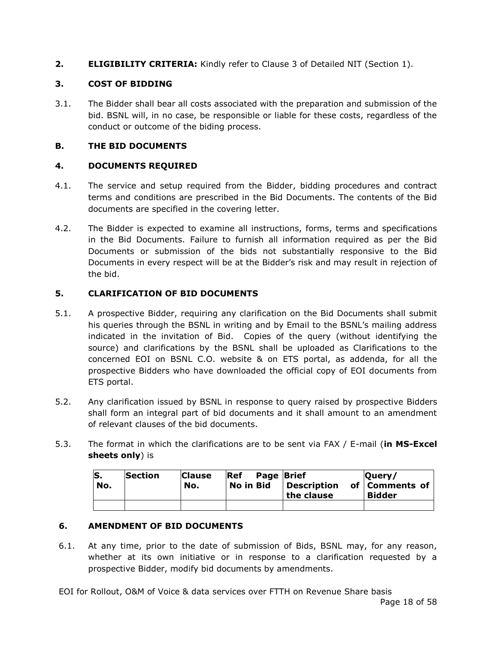**2. ELIGIBILITY CRITERIA:** Kindly refer to Clause 3 of Detailed NIT (Section 1).

# **3. COST OF BIDDING**

3.1. The Bidder shall bear all costs associated with the preparation and submission of the bid. BSNL will, in no case, be responsible or liable for these costs, regardless of the conduct or outcome of the biding process.

# **B. THE BID DOCUMENTS**

# **4. DOCUMENTS REQUIRED**

- 4.1. The service and setup required from the Bidder, bidding procedures and contract terms and conditions are prescribed in the Bid Documents. The contents of the Bid documents are specified in the covering letter.
- 4.2. The Bidder is expected to examine all instructions, forms, terms and specifications in the Bid Documents. Failure to furnish all information required as per the Bid Documents or submission of the bids not substantially responsive to the Bid Documents in every respect will be at the Bidder's risk and may result in rejection of the bid.

# **5. CLARIFICATION OF BID DOCUMENTS**

- 5.1. A prospective Bidder, requiring any clarification on the Bid Documents shall submit his queries through the BSNL in writing and by Email to the BSNL's mailing address indicated in the invitation of Bid. Copies of the query (without identifying the source) and clarifications by the BSNL shall be uploaded as Clarifications to the concerned EOI on BSNL C.O. website & on ETS portal, as addenda, for all the prospective Bidders who have downloaded the official copy of EOI documents from ETS portal.
- 5.2. Any clarification issued by BSNL in response to query raised by prospective Bidders shall form an integral part of bid documents and it shall amount to an amendment of relevant clauses of the bid documents.
- 5.3. The format in which the clarifications are to be sent via FAX / E-mail (**in MS-Excel sheets only**) is

| S.<br>No. | Section | <b>Clause</b><br>No. | Ref<br>No in Bid | <b>Page Brief</b> | Description<br>the clause | lOuerv/<br>of   Comments of<br><b>Bidder</b> |
|-----------|---------|----------------------|------------------|-------------------|---------------------------|----------------------------------------------|
|           |         |                      |                  |                   |                           |                                              |

# **6. AMENDMENT OF BID DOCUMENTS**

6.1. At any time, prior to the date of submission of Bids, BSNL may, for any reason, whether at its own initiative or in response to a clarification requested by a prospective Bidder, modify bid documents by amendments.

EOI for Rollout, O&M of Voice & data services over FTTH on Revenue Share basis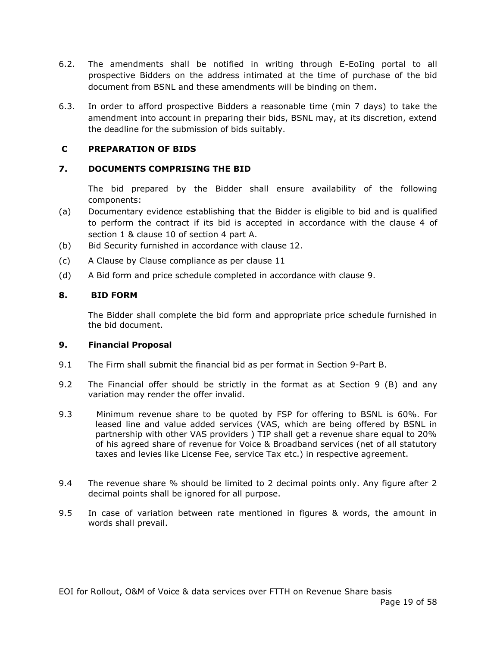- 6.2. The amendments shall be notified in writing through E-EoIing portal to all prospective Bidders on the address intimated at the time of purchase of the bid document from BSNL and these amendments will be binding on them.
- 6.3. In order to afford prospective Bidders a reasonable time (min 7 days) to take the amendment into account in preparing their bids, BSNL may, at its discretion, extend the deadline for the submission of bids suitably.

# **C PREPARATION OF BIDS**

# **7. DOCUMENTS COMPRISING THE BID**

The bid prepared by the Bidder shall ensure availability of the following components:

- (a) Documentary evidence establishing that the Bidder is eligible to bid and is qualified to perform the contract if its bid is accepted in accordance with the clause 4 of section 1 & clause 10 of section 4 part A.
- (b) Bid Security furnished in accordance with clause 12.
- (c) A Clause by Clause compliance as per clause 11
- (d) A Bid form and price schedule completed in accordance with clause 9.

#### **8. BID FORM**

The Bidder shall complete the bid form and appropriate price schedule furnished in the bid document.

#### **9. Financial Proposal**

- 9.1 The Firm shall submit the financial bid as per format in Section 9-Part B.
- 9.2 The Financial offer should be strictly in the format as at Section 9 (B) and any variation may render the offer invalid.
- 9.3 Minimum revenue share to be quoted by FSP for offering to BSNL is 60%. For leased line and value added services (VAS, which are being offered by BSNL in partnership with other VAS providers ) TIP shall get a revenue share equal to 20% of his agreed share of revenue for Voice & Broadband services (net of all statutory taxes and levies like License Fee, service Tax etc.) in respective agreement.
- 9.4 The revenue share % should be limited to 2 decimal points only. Any figure after 2 decimal points shall be ignored for all purpose.
- 9.5 In case of variation between rate mentioned in figures & words, the amount in words shall prevail.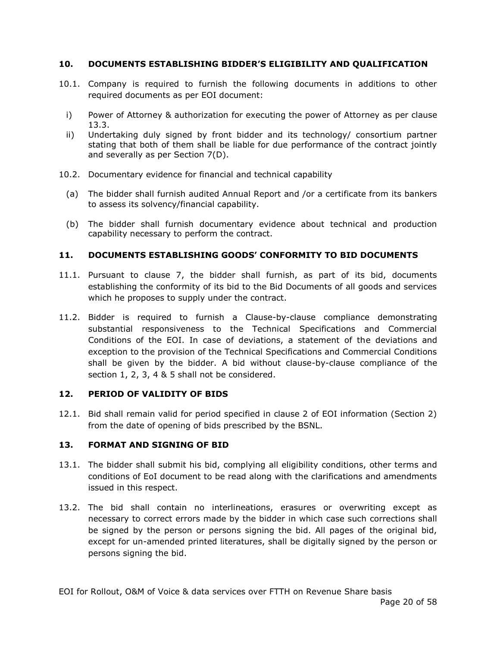# **10. DOCUMENTS ESTABLISHING BIDDER'S ELIGIBILITY AND QUALIFICATION**

- 10.1. Company is required to furnish the following documents in additions to other required documents as per EOI document:
	- i) Power of Attorney & authorization for executing the power of Attorney as per clause 13.3.
	- ii) Undertaking duly signed by front bidder and its technology/ consortium partner stating that both of them shall be liable for due performance of the contract jointly and severally as per Section 7(D).
- 10.2. Documentary evidence for financial and technical capability
	- (a) The bidder shall furnish audited Annual Report and /or a certificate from its bankers to assess its solvency/financial capability.
	- (b) The bidder shall furnish documentary evidence about technical and production capability necessary to perform the contract.

# **11. DOCUMENTS ESTABLISHING GOODS' CONFORMITY TO BID DOCUMENTS**

- 11.1. Pursuant to clause 7, the bidder shall furnish, as part of its bid, documents establishing the conformity of its bid to the Bid Documents of all goods and services which he proposes to supply under the contract.
- 11.2. Bidder is required to furnish a Clause-by-clause compliance demonstrating substantial responsiveness to the Technical Specifications and Commercial Conditions of the EOI. In case of deviations, a statement of the deviations and exception to the provision of the Technical Specifications and Commercial Conditions shall be given by the bidder. A bid without clause-by-clause compliance of the section 1, 2, 3, 4 & 5 shall not be considered.

#### **12. PERIOD OF VALIDITY OF BIDS**

12.1. Bid shall remain valid for period specified in clause 2 of EOI information (Section 2) from the date of opening of bids prescribed by the BSNL.

# **13. FORMAT AND SIGNING OF BID**

- 13.1. The bidder shall submit his bid, complying all eligibility conditions, other terms and conditions of EoI document to be read along with the clarifications and amendments issued in this respect.
- 13.2. The bid shall contain no interlineations, erasures or overwriting except as necessary to correct errors made by the bidder in which case such corrections shall be signed by the person or persons signing the bid. All pages of the original bid, except for un-amended printed literatures, shall be digitally signed by the person or persons signing the bid.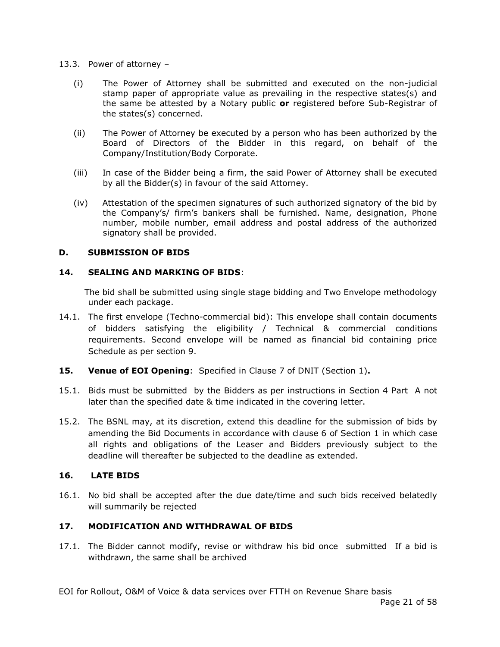- 13.3. Power of attorney
	- (i) The Power of Attorney shall be submitted and executed on the non-judicial stamp paper of appropriate value as prevailing in the respective states(s) and the same be attested by a Notary public **or** registered before Sub-Registrar of the states(s) concerned.
	- (ii) The Power of Attorney be executed by a person who has been authorized by the Board of Directors of the Bidder in this regard, on behalf of the Company/Institution/Body Corporate.
	- (iii) In case of the Bidder being a firm, the said Power of Attorney shall be executed by all the Bidder(s) in favour of the said Attorney.
	- (iv) Attestation of the specimen signatures of such authorized signatory of the bid by the Company's/ firm's bankers shall be furnished. Name, designation, Phone number, mobile number, email address and postal address of the authorized signatory shall be provided.

#### **D. SUBMISSION OF BIDS**

# **14. SEALING AND MARKING OF BIDS**:

 The bid shall be submitted using single stage bidding and Two Envelope methodology under each package.

- 14.1. The first envelope (Techno-commercial bid): This envelope shall contain documents of bidders satisfying the eligibility / Technical & commercial conditions requirements. Second envelope will be named as financial bid containing price Schedule as per section 9.
- **15. Venue of EOI Opening**: Specified in Clause 7 of DNIT (Section 1)**.**
- 15.1. Bids must be submitted by the Bidders as per instructions in Section 4 Part A not later than the specified date & time indicated in the covering letter.
- 15.2. The BSNL may, at its discretion, extend this deadline for the submission of bids by amending the Bid Documents in accordance with clause 6 of Section 1 in which case all rights and obligations of the Leaser and Bidders previously subject to the deadline will thereafter be subjected to the deadline as extended.

#### **16. LATE BIDS**

16.1. No bid shall be accepted after the due date/time and such bids received belatedly will summarily be rejected

#### **17. MODIFICATION AND WITHDRAWAL OF BIDS**

17.1. The Bidder cannot modify, revise or withdraw his bid once submitted If a bid is withdrawn, the same shall be archived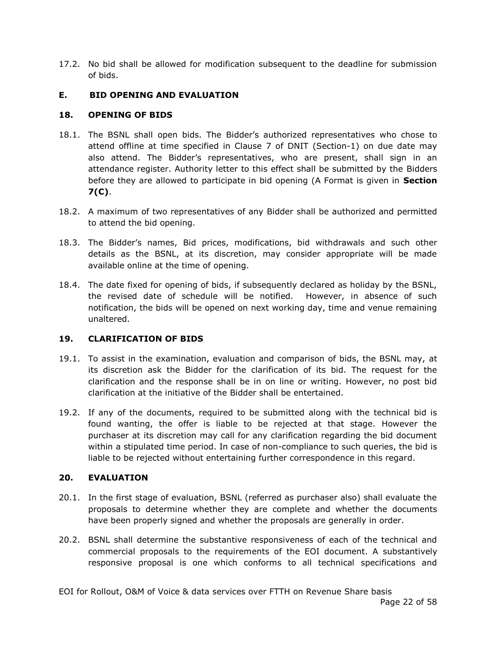17.2. No bid shall be allowed for modification subsequent to the deadline for submission of bids.

# **E. BID OPENING AND EVALUATION**

# **18. OPENING OF BIDS**

- 18.1. The BSNL shall open bids. The Bidder's authorized representatives who chose to attend offline at time specified in Clause 7 of DNIT (Section-1) on due date may also attend. The Bidder's representatives, who are present, shall sign in an attendance register. Authority letter to this effect shall be submitted by the Bidders before they are allowed to participate in bid opening (A Format is given in **Section 7(C)**.
- 18.2. A maximum of two representatives of any Bidder shall be authorized and permitted to attend the bid opening.
- 18.3. The Bidder's names, Bid prices, modifications, bid withdrawals and such other details as the BSNL, at its discretion, may consider appropriate will be made available online at the time of opening.
- 18.4. The date fixed for opening of bids, if subsequently declared as holiday by the BSNL, the revised date of schedule will be notified. However, in absence of such notification, the bids will be opened on next working day, time and venue remaining unaltered.

# **19. CLARIFICATION OF BIDS**

- 19.1. To assist in the examination, evaluation and comparison of bids, the BSNL may, at its discretion ask the Bidder for the clarification of its bid. The request for the clarification and the response shall be in on line or writing. However, no post bid clarification at the initiative of the Bidder shall be entertained.
- 19.2. If any of the documents, required to be submitted along with the technical bid is found wanting, the offer is liable to be rejected at that stage. However the purchaser at its discretion may call for any clarification regarding the bid document within a stipulated time period. In case of non-compliance to such queries, the bid is liable to be rejected without entertaining further correspondence in this regard.

# **20. EVALUATION**

- 20.1. In the first stage of evaluation, BSNL (referred as purchaser also) shall evaluate the proposals to determine whether they are complete and whether the documents have been properly signed and whether the proposals are generally in order.
- 20.2. BSNL shall determine the substantive responsiveness of each of the technical and commercial proposals to the requirements of the EOI document. A substantively responsive proposal is one which conforms to all technical specifications and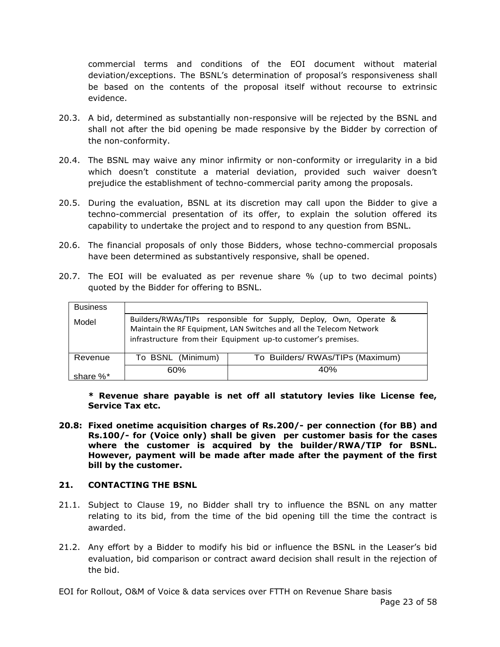commercial terms and conditions of the EOI document without material deviation/exceptions. The BSNL's determination of proposal's responsiveness shall be based on the contents of the proposal itself without recourse to extrinsic evidence.

- 20.3. A bid, determined as substantially non-responsive will be rejected by the BSNL and shall not after the bid opening be made responsive by the Bidder by correction of the non-conformity.
- 20.4. The BSNL may waive any minor infirmity or non-conformity or irregularity in a bid which doesn't constitute a material deviation, provided such waiver doesn't prejudice the establishment of techno-commercial parity among the proposals.
- 20.5. During the evaluation, BSNL at its discretion may call upon the Bidder to give a techno-commercial presentation of its offer, to explain the solution offered its capability to undertake the project and to respond to any question from BSNL.
- 20.6. The financial proposals of only those Bidders, whose techno-commercial proposals have been determined as substantively responsive, shall be opened.
- 20.7. The EOI will be evaluated as per revenue share % (up to two decimal points) quoted by the Bidder for offering to BSNL.

| <b>Business</b><br>Model |                   | Builders/RWAs/TIPs responsible for Supply, Deploy, Own, Operate &<br>Maintain the RF Equipment, LAN Switches and all the Telecom Network<br>infrastructure from their Equipment up-to customer's premises. |
|--------------------------|-------------------|------------------------------------------------------------------------------------------------------------------------------------------------------------------------------------------------------------|
| Revenue                  | To BSNL (Minimum) | To Builders/ RWAs/TIPs (Maximum)                                                                                                                                                                           |
| share %*                 | 60%               | 40%                                                                                                                                                                                                        |

**\* Revenue share payable is net off all statutory levies like License fee, Service Tax etc.**

**20.8: Fixed onetime acquisition charges of Rs.200/- per connection (for BB) and Rs.100/- for (Voice only) shall be given per customer basis for the cases where the customer is acquired by the builder/RWA/TIP for BSNL. However, payment will be made after made after the payment of the first bill by the customer.**

#### **21. CONTACTING THE BSNL**

- 21.1. Subject to Clause 19, no Bidder shall try to influence the BSNL on any matter relating to its bid, from the time of the bid opening till the time the contract is awarded.
- 21.2. Any effort by a Bidder to modify his bid or influence the BSNL in the Leaser's bid evaluation, bid comparison or contract award decision shall result in the rejection of the bid.

EOI for Rollout, O&M of Voice & data services over FTTH on Revenue Share basis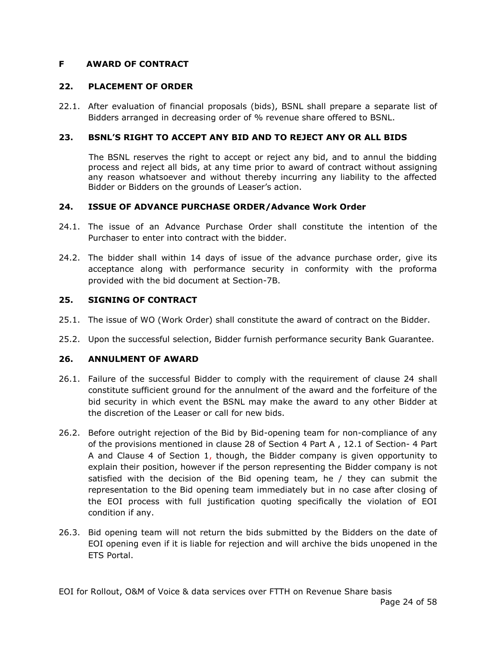# **F AWARD OF CONTRACT**

#### **22. PLACEMENT OF ORDER**

22.1. After evaluation of financial proposals (bids), BSNL shall prepare a separate list of Bidders arranged in decreasing order of % revenue share offered to BSNL.

# **23. BSNL'S RIGHT TO ACCEPT ANY BID AND TO REJECT ANY OR ALL BIDS**

The BSNL reserves the right to accept or reject any bid, and to annul the bidding process and reject all bids, at any time prior to award of contract without assigning any reason whatsoever and without thereby incurring any liability to the affected Bidder or Bidders on the grounds of Leaser's action.

#### **24. ISSUE OF ADVANCE PURCHASE ORDER/Advance Work Order**

- 24.1. The issue of an Advance Purchase Order shall constitute the intention of the Purchaser to enter into contract with the bidder.
- 24.2. The bidder shall within 14 days of issue of the advance purchase order, give its acceptance along with performance security in conformity with the proforma provided with the bid document at Section-7B.

#### **25. SIGNING OF CONTRACT**

- 25.1. The issue of WO (Work Order) shall constitute the award of contract on the Bidder.
- 25.2. Upon the successful selection, Bidder furnish performance security Bank Guarantee.

#### **26. ANNULMENT OF AWARD**

- 26.1. Failure of the successful Bidder to comply with the requirement of clause 24 shall constitute sufficient ground for the annulment of the award and the forfeiture of the bid security in which event the BSNL may make the award to any other Bidder at the discretion of the Leaser or call for new bids.
- 26.2. Before outright rejection of the Bid by Bid-opening team for non-compliance of any of the provisions mentioned in clause 28 of Section 4 Part A , 12.1 of Section- 4 Part A and Clause 4 of Section 1, though, the Bidder company is given opportunity to explain their position, however if the person representing the Bidder company is not satisfied with the decision of the Bid opening team, he / they can submit the representation to the Bid opening team immediately but in no case after closing of the EOI process with full justification quoting specifically the violation of EOI condition if any.
- 26.3. Bid opening team will not return the bids submitted by the Bidders on the date of EOI opening even if it is liable for rejection and will archive the bids unopened in the ETS Portal.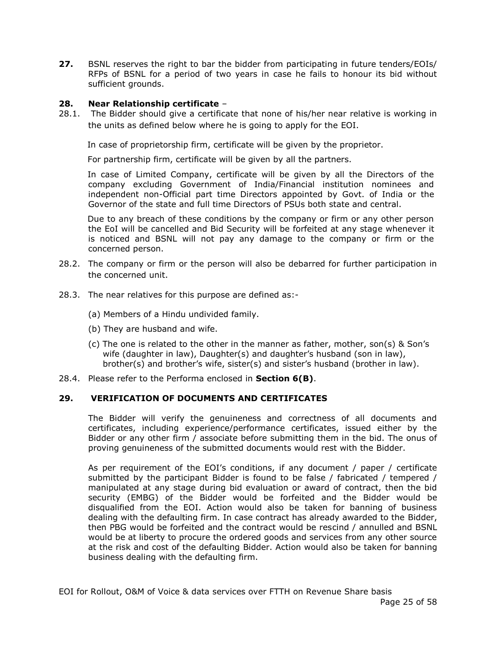**27.** BSNL reserves the right to bar the bidder from participating in future tenders/EOIs/ RFPs of BSNL for a period of two years in case he fails to honour its bid without sufficient grounds.

# **28. Near Relationship certificate** –

28.1. The Bidder should give a certificate that none of his/her near relative is working in the units as defined below where he is going to apply for the EOI.

In case of proprietorship firm, certificate will be given by the proprietor.

For partnership firm, certificate will be given by all the partners.

In case of Limited Company, certificate will be given by all the Directors of the company excluding Government of India/Financial institution nominees and independent non-Official part time Directors appointed by Govt. of India or the Governor of the state and full time Directors of PSUs both state and central.

Due to any breach of these conditions by the company or firm or any other person the EoI will be cancelled and Bid Security will be forfeited at any stage whenever it is noticed and BSNL will not pay any damage to the company or firm or the concerned person.

- 28.2. The company or firm or the person will also be debarred for further participation in the concerned unit.
- 28.3. The near relatives for this purpose are defined as:-
	- (a) Members of a Hindu undivided family.
	- (b) They are husband and wife.
	- (c) The one is related to the other in the manner as father, mother, son(s) & Son's wife (daughter in law), Daughter(s) and daughter's husband (son in law), brother(s) and brother's wife, sister(s) and sister's husband (brother in law).
- 28.4. Please refer to the Performa enclosed in **Section 6(B)**.

#### **29. VERIFICATION OF DOCUMENTS AND CERTIFICATES**

The Bidder will verify the genuineness and correctness of all documents and certificates, including experience/performance certificates, issued either by the Bidder or any other firm / associate before submitting them in the bid. The onus of proving genuineness of the submitted documents would rest with the Bidder.

As per requirement of the EOI's conditions, if any document / paper / certificate submitted by the participant Bidder is found to be false / fabricated / tempered / manipulated at any stage during bid evaluation or award of contract, then the bid security (EMBG) of the Bidder would be forfeited and the Bidder would be disqualified from the EOI. Action would also be taken for banning of business dealing with the defaulting firm. In case contract has already awarded to the Bidder, then PBG would be forfeited and the contract would be rescind / annulled and BSNL would be at liberty to procure the ordered goods and services from any other source at the risk and cost of the defaulting Bidder. Action would also be taken for banning business dealing with the defaulting firm.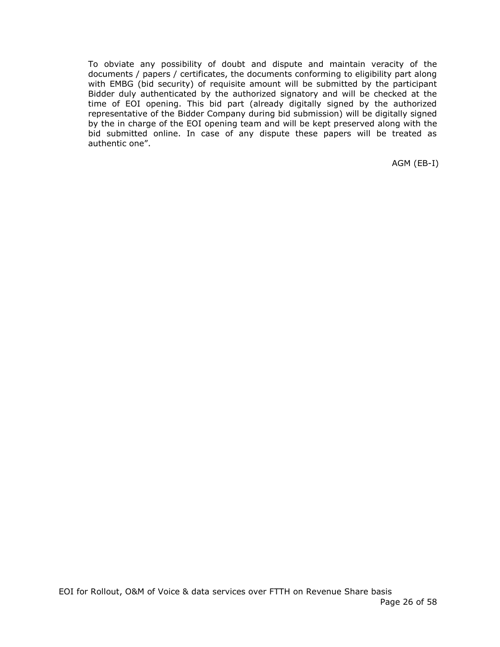To obviate any possibility of doubt and dispute and maintain veracity of the documents / papers / certificates, the documents conforming to eligibility part along with EMBG (bid security) of requisite amount will be submitted by the participant Bidder duly authenticated by the authorized signatory and will be checked at the time of EOI opening. This bid part (already digitally signed by the authorized representative of the Bidder Company during bid submission) will be digitally signed by the in charge of the EOI opening team and will be kept preserved along with the bid submitted online. In case of any dispute these papers will be treated as authentic one".

AGM (EB-I)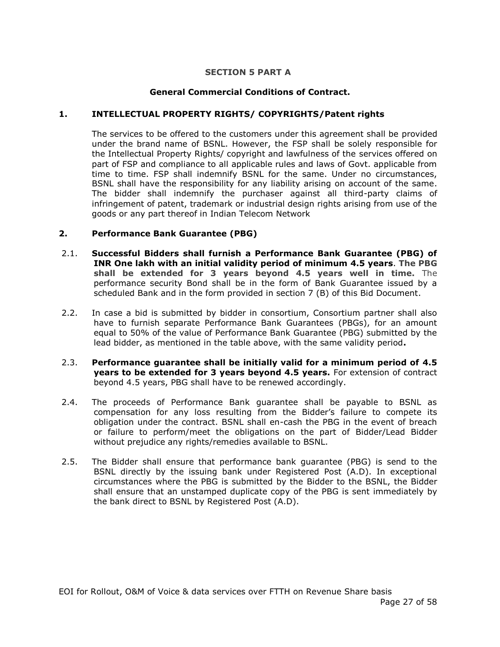#### **SECTION 5 PART A**

# **General Commercial Conditions of Contract.**

#### **1. INTELLECTUAL PROPERTY RIGHTS/ COPYRIGHTS/Patent rights**

The services to be offered to the customers under this agreement shall be provided under the brand name of BSNL. However, the FSP shall be solely responsible for the Intellectual Property Rights/ copyright and lawfulness of the services offered on part of FSP and compliance to all applicable rules and laws of Govt. applicable from time to time. FSP shall indemnify BSNL for the same. Under no circumstances, BSNL shall have the responsibility for any liability arising on account of the same. The bidder shall indemnify the purchaser against all third-party claims of infringement of patent, trademark or industrial design rights arising from use of the goods or any part thereof in Indian Telecom Network

#### **2. Performance Bank Guarantee (PBG)**

- 2.1. **Successful Bidders shall furnish a Performance Bank Guarantee (PBG) of INR One lakh with an initial validity period of minimum 4.5 years**. **The PBG shall be extended for 3 years beyond 4.5 years well in time.** The performance security Bond shall be in the form of Bank Guarantee issued by a scheduled Bank and in the form provided in section 7 (B) of this Bid Document.
- 2.2. In case a bid is submitted by bidder in consortium, Consortium partner shall also have to furnish separate Performance Bank Guarantees (PBGs), for an amount equal to 50% of the value of Performance Bank Guarantee (PBG) submitted by the lead bidder, as mentioned in the table above, with the same validity period**.**
- 2.3. **Performance guarantee shall be initially valid for a minimum period of 4.5 years to be extended for 3 years beyond 4.5 years.** For extension of contract beyond 4.5 years, PBG shall have to be renewed accordingly.
- 2.4. The proceeds of Performance Bank guarantee shall be payable to BSNL as compensation for any loss resulting from the Bidder's failure to compete its obligation under the contract. BSNL shall en-cash the PBG in the event of breach or failure to perform/meet the obligations on the part of Bidder/Lead Bidder without prejudice any rights/remedies available to BSNL.
- 2.5. The Bidder shall ensure that performance bank guarantee (PBG) is send to the BSNL directly by the issuing bank under Registered Post (A.D). In exceptional circumstances where the PBG is submitted by the Bidder to the BSNL, the Bidder shall ensure that an unstamped duplicate copy of the PBG is sent immediately by the bank direct to BSNL by Registered Post (A.D).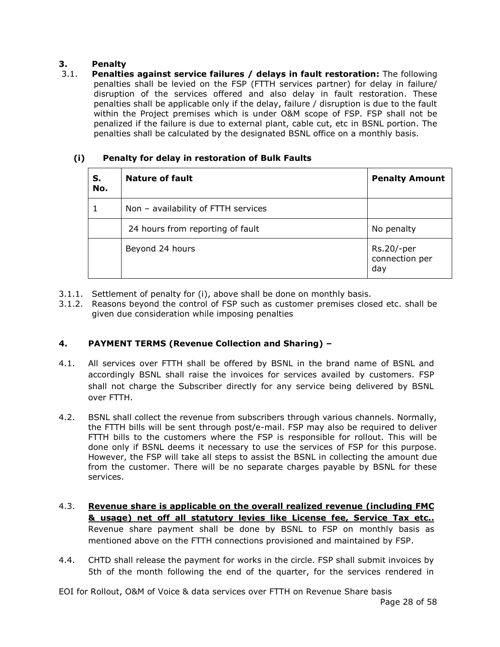# **3. Penalty**

3.1. **Penalties against service failures / delays in fault restoration:** The following penalties shall be levied on the FSP (FTTH services partner) for delay in failure/ disruption of the services offered and also delay in fault restoration. These penalties shall be applicable only if the delay, failure / disruption is due to the fault within the Project premises which is under O&M scope of FSP. FSP shall not be penalized if the failure is due to external plant, cable cut, etc in BSNL portion. The penalties shall be calculated by the designated BSNL office on a monthly basis.

| S.<br>No. | <b>Nature of fault</b>              | <b>Penalty Amount</b>               |
|-----------|-------------------------------------|-------------------------------------|
|           | Non - availability of FTTH services |                                     |
|           | 24 hours from reporting of fault    | No penalty                          |
|           | Beyond 24 hours                     | Rs.20/-per<br>connection per<br>day |

# **(i) Penalty for delay in restoration of Bulk Faults**

- 3.1.1. Settlement of penalty for (i), above shall be done on monthly basis.
- 3.1.2. Reasons beyond the control of FSP such as customer premises closed etc. shall be given due consideration while imposing penalties

# **4. PAYMENT TERMS (Revenue Collection and Sharing) –**

- 4.1. All services over FTTH shall be offered by BSNL in the brand name of BSNL and accordingly BSNL shall raise the invoices for services availed by customers. FSP shall not charge the Subscriber directly for any service being delivered by BSNL over FTTH.
- 4.2. BSNL shall collect the revenue from subscribers through various channels. Normally, the FTTH bills will be sent through post/e-mail. FSP may also be required to deliver FTTH bills to the customers where the FSP is responsible for rollout. This will be done only if BSNL deems it necessary to use the services of FSP for this purpose. However, the FSP will take all steps to assist the BSNL in collecting the amount due from the customer. There will be no separate charges payable by BSNL for these services.
- 4.3. **Revenue share is applicable on the overall realized revenue (including FMC & usage) net off all statutory levies like License fee, Service Tax etc..** Revenue share payment shall be done by BSNL to FSP on monthly basis as mentioned above on the FTTH connections provisioned and maintained by FSP.
- 4.4. CHTD shall release the payment for works in the circle. FSP shall submit invoices by 5th of the month following the end of the quarter, for the services rendered in

EOI for Rollout, O&M of Voice & data services over FTTH on Revenue Share basis Page 28 of 58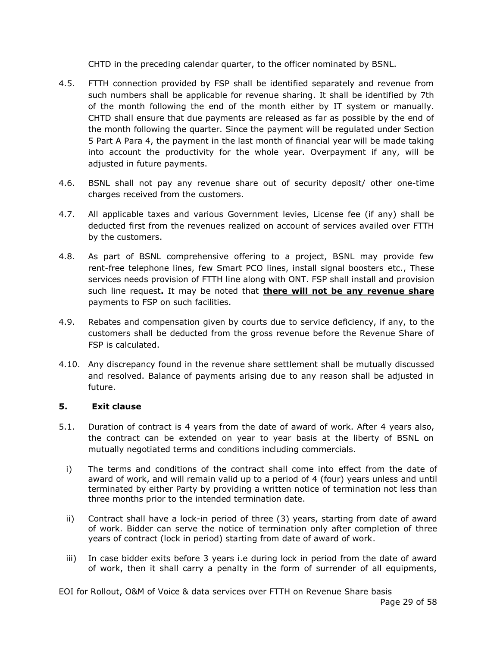CHTD in the preceding calendar quarter, to the officer nominated by BSNL.

- 4.5. FTTH connection provided by FSP shall be identified separately and revenue from such numbers shall be applicable for revenue sharing. It shall be identified by 7th of the month following the end of the month either by IT system or manually. CHTD shall ensure that due payments are released as far as possible by the end of the month following the quarter. Since the payment will be regulated under Section 5 Part A Para 4, the payment in the last month of financial year will be made taking into account the productivity for the whole year. Overpayment if any, will be adjusted in future payments.
- 4.6. BSNL shall not pay any revenue share out of security deposit/ other one-time charges received from the customers.
- 4.7. All applicable taxes and various Government levies, License fee (if any) shall be deducted first from the revenues realized on account of services availed over FTTH by the customers.
- 4.8. As part of BSNL comprehensive offering to a project, BSNL may provide few rent-free telephone lines, few Smart PCO lines, install signal boosters etc., These services needs provision of FTTH line along with ONT. FSP shall install and provision such line request**.** It may be noted that **there will not be any revenue share** payments to FSP on such facilities.
- 4.9. Rebates and compensation given by courts due to service deficiency, if any, to the customers shall be deducted from the gross revenue before the Revenue Share of FSP is calculated.
- 4.10. Any discrepancy found in the revenue share settlement shall be mutually discussed and resolved. Balance of payments arising due to any reason shall be adjusted in future.

# **5. Exit clause**

- 5.1. Duration of contract is 4 years from the date of award of work. After 4 years also, the contract can be extended on year to year basis at the liberty of BSNL on mutually negotiated terms and conditions including commercials.
	- i) The terms and conditions of the contract shall come into effect from the date of award of work, and will remain valid up to a period of 4 (four) years unless and until terminated by either Party by providing a written notice of termination not less than three months prior to the intended termination date.
	- ii) Contract shall have a lock-in period of three (3) years, starting from date of award of work. Bidder can serve the notice of termination only after completion of three years of contract (lock in period) starting from date of award of work.
	- iii) In case bidder exits before 3 years i.e during lock in period from the date of award of work, then it shall carry a penalty in the form of surrender of all equipments,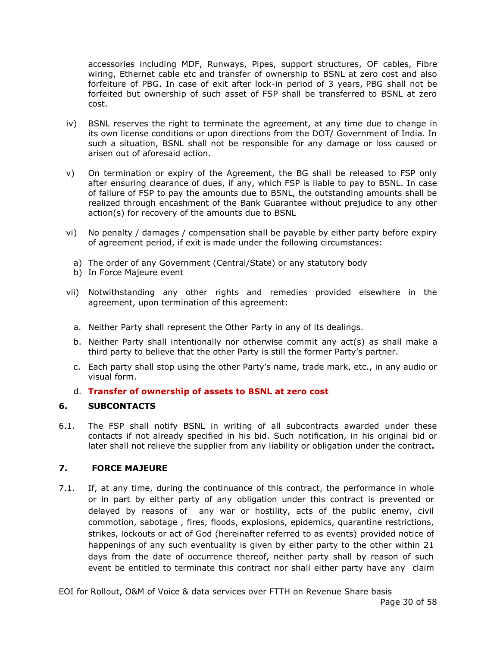accessories including MDF, Runways, Pipes, support structures, OF cables, Fibre wiring, Ethernet cable etc and transfer of ownership to BSNL at zero cost and also forfeiture of PBG. In case of exit after lock-in period of 3 years, PBG shall not be forfeited but ownership of such asset of FSP shall be transferred to BSNL at zero cost.

- iv) BSNL reserves the right to terminate the agreement, at any time due to change in its own license conditions or upon directions from the DOT/ Government of India. In such a situation, BSNL shall not be responsible for any damage or loss caused or arisen out of aforesaid action.
- v) On termination or expiry of the Agreement, the BG shall be released to FSP only after ensuring clearance of dues, if any, which FSP is liable to pay to BSNL. In case of failure of FSP to pay the amounts due to BSNL, the outstanding amounts shall be realized through encashment of the Bank Guarantee without prejudice to any other action(s) for recovery of the amounts due to BSNL
- vi) No penalty / damages / compensation shall be payable by either party before expiry of agreement period, if exit is made under the following circumstances:
	- a) The order of any Government (Central/State) or any statutory body
	- b) In Force Majeure event
- vii) Notwithstanding any other rights and remedies provided elsewhere in the agreement, upon termination of this agreement:
	- a. Neither Party shall represent the Other Party in any of its dealings.
	- b. Neither Party shall intentionally nor otherwise commit any act(s) as shall make a third party to believe that the other Party is still the former Party's partner.
	- c. Each party shall stop using the other Party's name, trade mark, etc., in any audio or visual form.
	- d. **Transfer of ownership of assets to BSNL at zero cost**

# **6. SUBCONTACTS**

6.1. The FSP shall notify BSNL in writing of all subcontracts awarded under these contacts if not already specified in his bid. Such notification, in his original bid or later shall not relieve the supplier from any liability or obligation under the contract**.**

# **7. FORCE MAJEURE**

7.1. If, at any time, during the continuance of this contract, the performance in whole or in part by either party of any obligation under this contract is prevented or delayed by reasons of any war or hostility, acts of the public enemy, civil commotion, sabotage , fires, floods, explosions, epidemics, quarantine restrictions, strikes, lockouts or act of God (hereinafter referred to as events) provided notice of happenings of any such eventuality is given by either party to the other within 21 days from the date of occurrence thereof, neither party shall by reason of such event be entitled to terminate this contract nor shall either party have any claim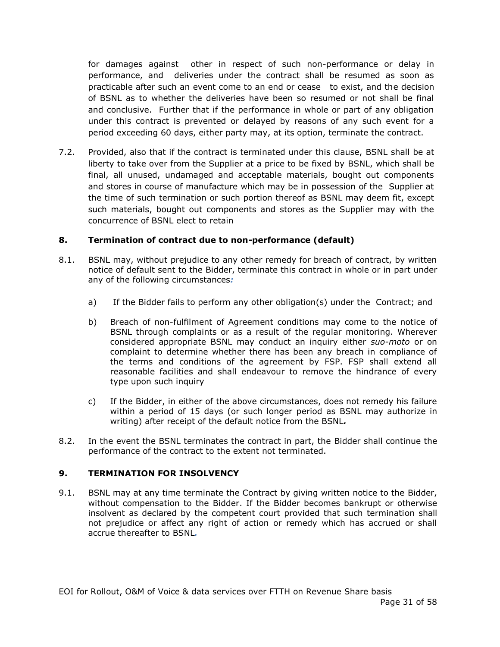for damages against other in respect of such non-performance or delay in performance, and deliveries under the contract shall be resumed as soon as practicable after such an event come to an end or cease to exist, and the decision of BSNL as to whether the deliveries have been so resumed or not shall be final and conclusive. Further that if the performance in whole or part of any obligation under this contract is prevented or delayed by reasons of any such event for a period exceeding 60 days, either party may, at its option, terminate the contract.

7.2. Provided, also that if the contract is terminated under this clause, BSNL shall be at liberty to take over from the Supplier at a price to be fixed by BSNL, which shall be final, all unused, undamaged and acceptable materials, bought out components and stores in course of manufacture which may be in possession of the Supplier at the time of such termination or such portion thereof as BSNL may deem fit, except such materials, bought out components and stores as the Supplier may with the concurrence of BSNL elect to retain

# **8. Termination of contract due to non-performance (default)**

- 8.1. BSNL may, without prejudice to any other remedy for breach of contract, by written notice of default sent to the Bidder, terminate this contract in whole or in part under any of the following circumstances*:*
	- a) If the Bidder fails to perform any other obligation(s) under the Contract; and
	- b) Breach of non-fulfilment of Agreement conditions may come to the notice of BSNL through complaints or as a result of the regular monitoring. Wherever considered appropriate BSNL may conduct an inquiry either *suo-moto* or on complaint to determine whether there has been any breach in compliance of the terms and conditions of the agreement by FSP. FSP shall extend all reasonable facilities and shall endeavour to remove the hindrance of every type upon such inquiry
	- c) If the Bidder, in either of the above circumstances, does not remedy his failure within a period of 15 days (or such longer period as BSNL may authorize in writing) after receipt of the default notice from the BSNL*.*
- 8.2. In the event the BSNL terminates the contract in part, the Bidder shall continue the performance of the contract to the extent not terminated.

#### **9. TERMINATION FOR INSOLVENCY**

9.1. BSNL may at any time terminate the Contract by giving written notice to the Bidder, without compensation to the Bidder. If the Bidder becomes bankrupt or otherwise insolvent as declared by the competent court provided that such termination shall not prejudice or affect any right of action or remedy which has accrued or shall accrue thereafter to BSNL*.*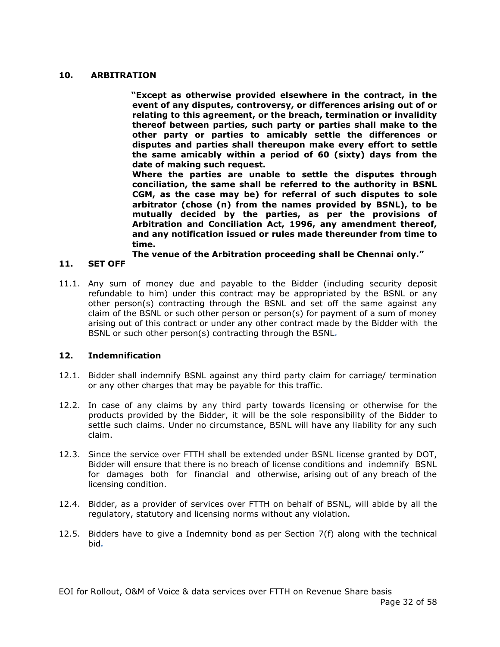#### **10. ARBITRATION**

**"Except as otherwise provided elsewhere in the contract, in the event of any disputes, controversy, or differences arising out of or relating to this agreement, or the breach, termination or invalidity thereof between parties, such party or parties shall make to the other party or parties to amicably settle the differences or disputes and parties shall thereupon make every effort to settle the same amicably within a period of 60 (sixty) days from the date of making such request.**

**Where the parties are unable to settle the disputes through conciliation, the same shall be referred to the authority in BSNL CGM, as the case may be) for referral of such disputes to sole arbitrator (chose (n) from the names provided by BSNL), to be mutually decided by the parties, as per the provisions of Arbitration and Conciliation Act, 1996, any amendment thereof, and any notification issued or rules made thereunder from time to time.**

**The venue of the Arbitration proceeding shall be Chennai only."**

# **11. SET OFF**

11.1. Any sum of money due and payable to the Bidder (including security deposit refundable to him) under this contract may be appropriated by the BSNL or any other person(s) contracting through the BSNL and set off the same against any claim of the BSNL or such other person or person(s) for payment of a sum of money arising out of this contract or under any other contract made by the Bidder with the BSNL or such other person(s) contracting through the BSNL*.* 

#### **12. Indemnification**

- 12.1. Bidder shall indemnify BSNL against any third party claim for carriage/ termination or any other charges that may be payable for this traffic.
- 12.2. In case of any claims by any third party towards licensing or otherwise for the products provided by the Bidder, it will be the sole responsibility of the Bidder to settle such claims. Under no circumstance, BSNL will have any liability for any such claim.
- 12.3. Since the service over FTTH shall be extended under BSNL license granted by DOT, Bidder will ensure that there is no breach of license conditions and indemnify BSNL for damages both for financial and otherwise, arising out of any breach of the licensing condition.
- 12.4. Bidder, as a provider of services over FTTH on behalf of BSNL, will abide by all the regulatory, statutory and licensing norms without any violation.
- 12.5. Bidders have to give a Indemnity bond as per Section  $7(f)$  along with the technical bid*.*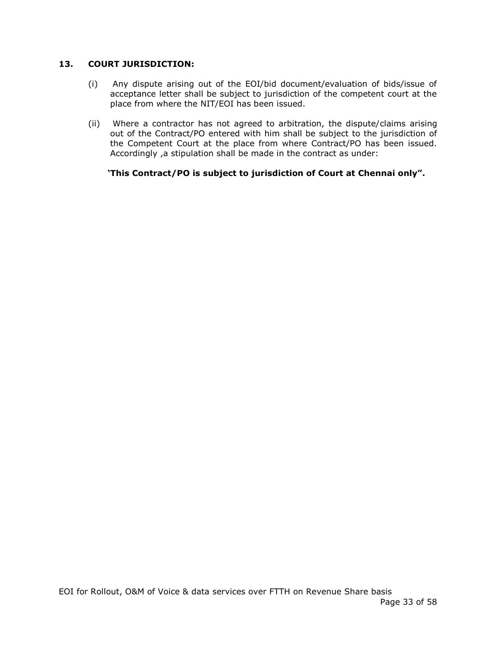# **13. COURT JURISDICTION:**

- (i) Any dispute arising out of the EOI/bid document/evaluation of bids/issue of acceptance letter shall be subject to jurisdiction of the competent court at the place from where the NIT/EOI has been issued.
- (ii) Where a contractor has not agreed to arbitration, the dispute/claims arising out of the Contract/PO entered with him shall be subject to the jurisdiction of the Competent Court at the place from where Contract/PO has been issued. Accordingly ,a stipulation shall be made in the contract as under:

 **'This Contract/PO is subject to jurisdiction of Court at Chennai only".**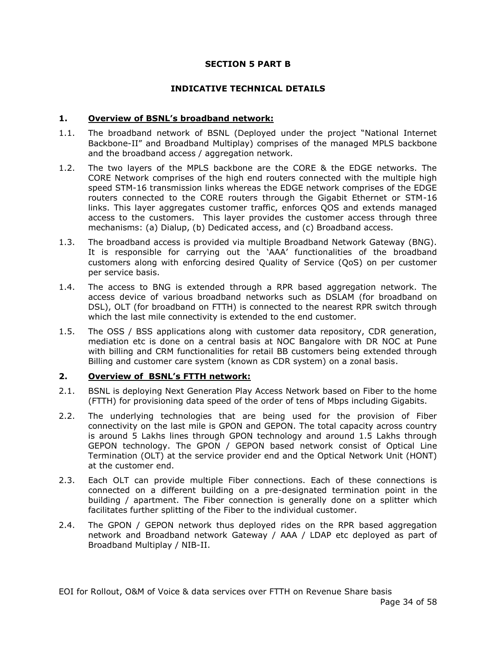#### **SECTION 5 PART B**

#### **INDICATIVE TECHNICAL DETAILS**

# **1. Overview of BSNL's broadband network:**

- 1.1. The broadband network of BSNL (Deployed under the project "National Internet Backbone-II" and Broadband Multiplay) comprises of the managed MPLS backbone and the broadband access / aggregation network.
- 1.2. The two layers of the MPLS backbone are the CORE & the EDGE networks. The CORE Network comprises of the high end routers connected with the multiple high speed STM-16 transmission links whereas the EDGE network comprises of the EDGE routers connected to the CORE routers through the Gigabit Ethernet or STM-16 links. This layer aggregates customer traffic, enforces QOS and extends managed access to the customers. This layer provides the customer access through three mechanisms: (a) Dialup, (b) Dedicated access, and (c) Broadband access.
- 1.3. The broadband access is provided via multiple Broadband Network Gateway (BNG). It is responsible for carrying out the 'AAA' functionalities of the broadband customers along with enforcing desired Quality of Service (QoS) on per customer per service basis.
- 1.4. The access to BNG is extended through a RPR based aggregation network. The access device of various broadband networks such as DSLAM (for broadband on DSL), OLT (for broadband on FTTH) is connected to the nearest RPR switch through which the last mile connectivity is extended to the end customer.
- 1.5. The OSS / BSS applications along with customer data repository, CDR generation, mediation etc is done on a central basis at NOC Bangalore with DR NOC at Pune with billing and CRM functionalities for retail BB customers being extended through Billing and customer care system (known as CDR system) on a zonal basis.

#### **2. Overview of BSNL's FTTH network:**

- 2.1. BSNL is deploying Next Generation Play Access Network based on Fiber to the home (FTTH) for provisioning data speed of the order of tens of Mbps including Gigabits.
- 2.2. The underlying technologies that are being used for the provision of Fiber connectivity on the last mile is GPON and GEPON. The total capacity across country is around 5 Lakhs lines through GPON technology and around 1.5 Lakhs through GEPON technology. The GPON / GEPON based network consist of Optical Line Termination (OLT) at the service provider end and the Optical Network Unit (HONT) at the customer end.
- 2.3. Each OLT can provide multiple Fiber connections. Each of these connections is connected on a different building on a pre-designated termination point in the building / apartment. The Fiber connection is generally done on a splitter which facilitates further splitting of the Fiber to the individual customer.
- 2.4. The GPON / GEPON network thus deployed rides on the RPR based aggregation network and Broadband network Gateway / AAA / LDAP etc deployed as part of Broadband Multiplay / NIB-II.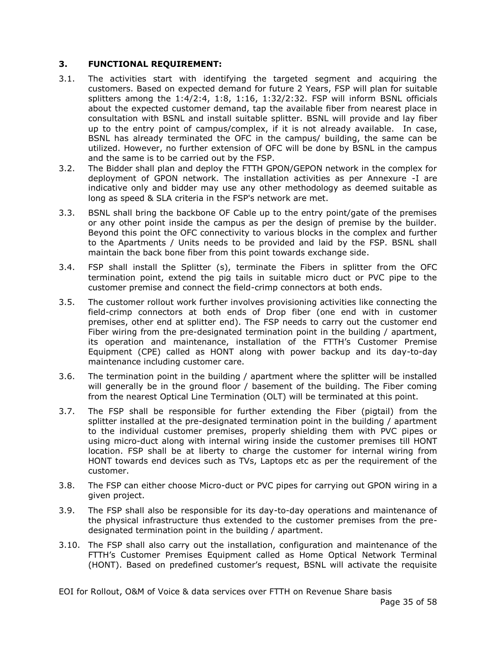# **3. FUNCTIONAL REQUIREMENT:**

- 3.1. The activities start with identifying the targeted segment and acquiring the customers. Based on expected demand for future 2 Years, FSP will plan for suitable splitters among the 1:4/2:4, 1:8, 1:16, 1:32/2:32. FSP will inform BSNL officials about the expected customer demand, tap the available fiber from nearest place in consultation with BSNL and install suitable splitter. BSNL will provide and lay fiber up to the entry point of campus/complex, if it is not already available. In case, BSNL has already terminated the OFC in the campus/ building, the same can be utilized. However, no further extension of OFC will be done by BSNL in the campus and the same is to be carried out by the FSP.
- 3.2. The Bidder shall plan and deploy the FTTH GPON/GEPON network in the complex for deployment of GPON network. The installation activities as per Annexure -I are indicative only and bidder may use any other methodology as deemed suitable as long as speed & SLA criteria in the FSP's network are met.
- 3.3. BSNL shall bring the backbone OF Cable up to the entry point/gate of the premises or any other point inside the campus as per the design of premise by the builder. Beyond this point the OFC connectivity to various blocks in the complex and further to the Apartments / Units needs to be provided and laid by the FSP. BSNL shall maintain the back bone fiber from this point towards exchange side.
- 3.4. FSP shall install the Splitter (s), terminate the Fibers in splitter from the OFC termination point, extend the pig tails in suitable micro duct or PVC pipe to the customer premise and connect the field-crimp connectors at both ends.
- 3.5. The customer rollout work further involves provisioning activities like connecting the field-crimp connectors at both ends of Drop fiber (one end with in customer premises, other end at splitter end). The FSP needs to carry out the customer end Fiber wiring from the pre-designated termination point in the building / apartment, its operation and maintenance, installation of the FTTH's Customer Premise Equipment (CPE) called as HONT along with power backup and its day-to-day maintenance including customer care.
- 3.6. The termination point in the building / apartment where the splitter will be installed will generally be in the ground floor / basement of the building. The Fiber coming from the nearest Optical Line Termination (OLT) will be terminated at this point.
- 3.7. The FSP shall be responsible for further extending the Fiber (pigtail) from the splitter installed at the pre-designated termination point in the building / apartment to the individual customer premises, properly shielding them with PVC pipes or using micro-duct along with internal wiring inside the customer premises till HONT location. FSP shall be at liberty to charge the customer for internal wiring from HONT towards end devices such as TVs, Laptops etc as per the requirement of the customer.
- 3.8. The FSP can either choose Micro-duct or PVC pipes for carrying out GPON wiring in a given project.
- 3.9. The FSP shall also be responsible for its day-to-day operations and maintenance of the physical infrastructure thus extended to the customer premises from the predesignated termination point in the building / apartment.
- 3.10. The FSP shall also carry out the installation, configuration and maintenance of the FTTH's Customer Premises Equipment called as Home Optical Network Terminal (HONT). Based on predefined customer's request, BSNL will activate the requisite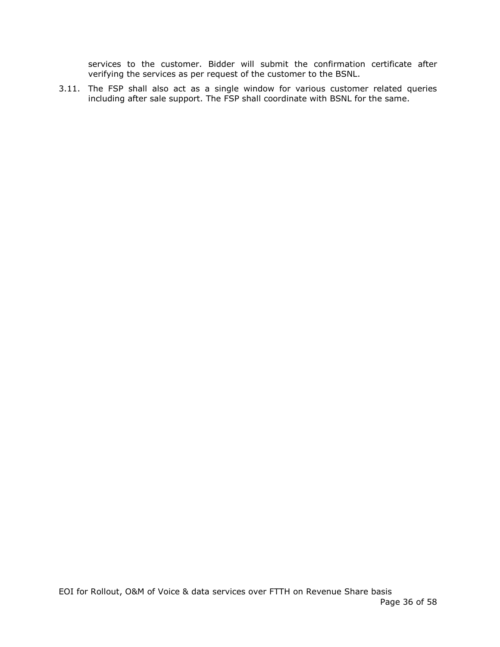services to the customer. Bidder will submit the confirmation certificate after verifying the services as per request of the customer to the BSNL.

3.11. The FSP shall also act as a single window for various customer related queries including after sale support. The FSP shall coordinate with BSNL for the same.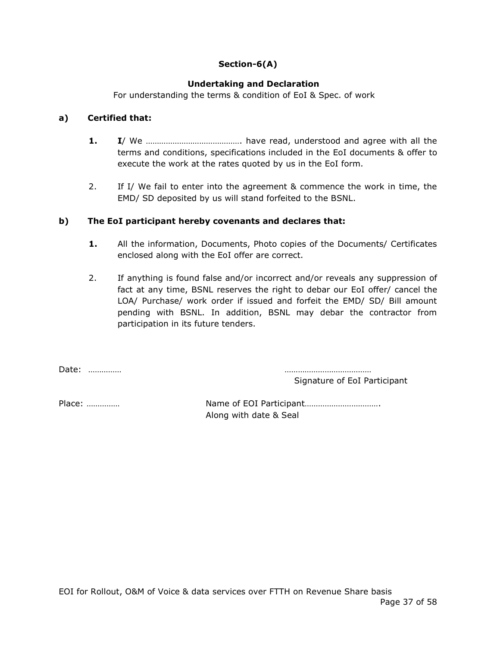# **Section-6(A)**

# **Undertaking and Declaration**

For understanding the terms & condition of EoI & Spec. of work

# **a) Certified that:**

- **1. I**/ We ……………………………………. have read, understood and agree with all the terms and conditions, specifications included in the EoI documents & offer to execute the work at the rates quoted by us in the EoI form.
- 2. If I/ We fail to enter into the agreement & commence the work in time, the EMD/ SD deposited by us will stand forfeited to the BSNL.

# **b) The EoI participant hereby covenants and declares that:**

- **1.** All the information, Documents, Photo copies of the Documents/ Certificates enclosed along with the EoI offer are correct.
- 2. If anything is found false and/or incorrect and/or reveals any suppression of fact at any time, BSNL reserves the right to debar our EoI offer/ cancel the LOA/ Purchase/ work order if issued and forfeit the EMD/ SD/ Bill amount pending with BSNL. In addition, BSNL may debar the contractor from participation in its future tenders.

Date: …………… …………………………………

Signature of EoI Participant

Place: …………… Name of EOI Participant……………………………. Along with date & Seal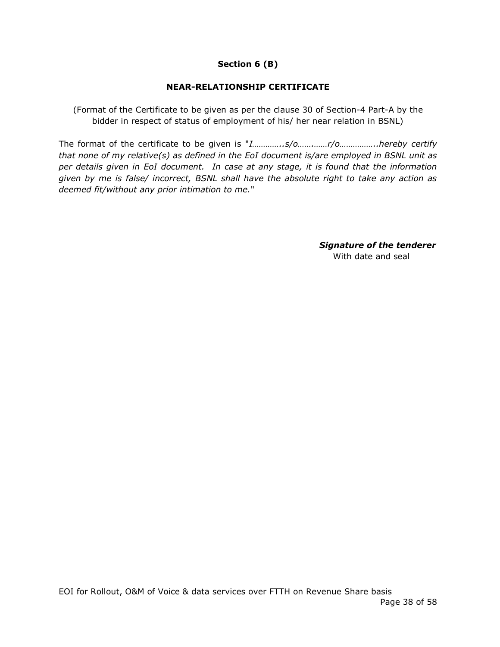# **Section 6 (B)**

# **NEAR-RELATIONSHIP CERTIFICATE**

(Format of the Certificate to be given as per the clause 30 of Section-4 Part-A by the bidder in respect of status of employment of his/ her near relation in BSNL)

The format of the certificate to be given is "*I…………..s/o…….……r/o……………..hereby certify that none of my relative(s) as defined in the EoI document is/are employed in BSNL unit as per details given in EoI document. In case at any stage, it is found that the information given by me is false/ incorrect, BSNL shall have the absolute right to take any action as deemed fit/without any prior intimation to me.*"

> *Signature of the tenderer* With date and seal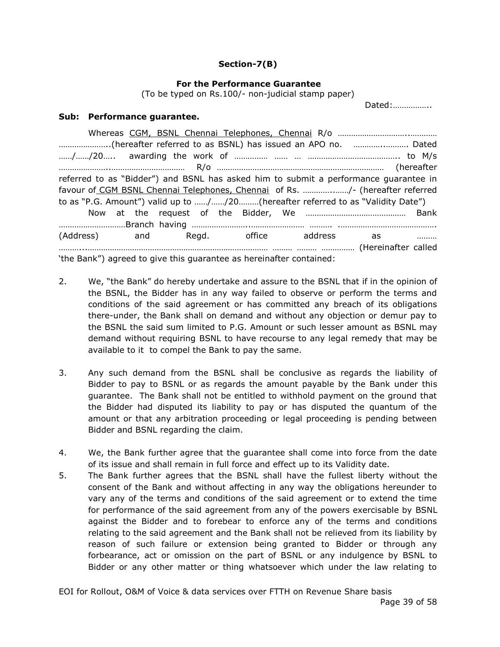#### **Section-7(B)**

#### **For the Performance Guarantee**

(To be typed on Rs.100/- non-judicial stamp paper)

Dated:……………..

#### **Sub: Performance guarantee.**

| referred to as "Bidder") and BSNL has asked him to submit a performance guarantee in |  |  |  |  |
|--------------------------------------------------------------------------------------|--|--|--|--|
| favour of CGM BSNL Chennai Telephones, Chennai of Rs. /- (hereafter referred         |  |  |  |  |
| to as "P.G. Amount") valid up to //20(hereafter referred to as "Validity Date")      |  |  |  |  |
|                                                                                      |  |  |  |  |
|                                                                                      |  |  |  |  |
| (Address) and Regd. office address as                                                |  |  |  |  |
|                                                                                      |  |  |  |  |
| 'the Bank") agreed to give this guarantee as hereinafter contained:                  |  |  |  |  |

- 2. We, "the Bank" do hereby undertake and assure to the BSNL that if in the opinion of the BSNL, the Bidder has in any way failed to observe or perform the terms and conditions of the said agreement or has committed any breach of its obligations there-under, the Bank shall on demand and without any objection or demur pay to the BSNL the said sum limited to P.G. Amount or such lesser amount as BSNL may demand without requiring BSNL to have recourse to any legal remedy that may be available to it to compel the Bank to pay the same.
- 3. Any such demand from the BSNL shall be conclusive as regards the liability of Bidder to pay to BSNL or as regards the amount payable by the Bank under this guarantee. The Bank shall not be entitled to withhold payment on the ground that the Bidder had disputed its liability to pay or has disputed the quantum of the amount or that any arbitration proceeding or legal proceeding is pending between Bidder and BSNL regarding the claim.
- 4. We, the Bank further agree that the guarantee shall come into force from the date of its issue and shall remain in full force and effect up to its Validity date.
- 5. The Bank further agrees that the BSNL shall have the fullest liberty without the consent of the Bank and without affecting in any way the obligations hereunder to vary any of the terms and conditions of the said agreement or to extend the time for performance of the said agreement from any of the powers exercisable by BSNL against the Bidder and to forebear to enforce any of the terms and conditions relating to the said agreement and the Bank shall not be relieved from its liability by reason of such failure or extension being granted to Bidder or through any forbearance, act or omission on the part of BSNL or any indulgence by BSNL to Bidder or any other matter or thing whatsoever which under the law relating to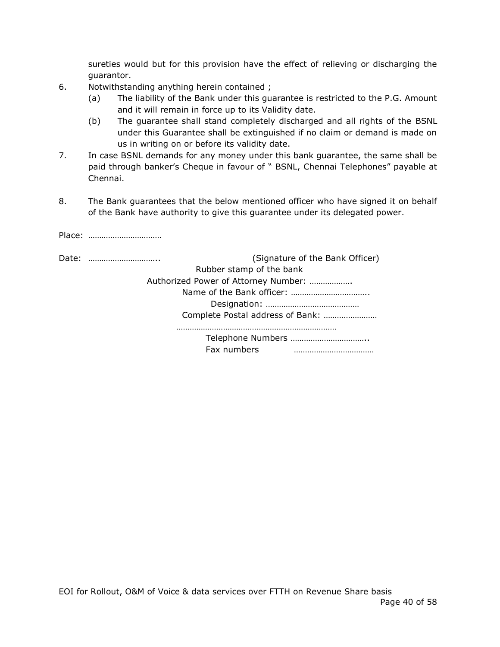sureties would but for this provision have the effect of relieving or discharging the guarantor.

6. Notwithstanding anything herein contained ;

Place: ……………………………

- (a) The liability of the Bank under this guarantee is restricted to the P.G. Amount and it will remain in force up to its Validity date.
- (b) The guarantee shall stand completely discharged and all rights of the BSNL under this Guarantee shall be extinguished if no claim or demand is made on us in writing on or before its validity date.
- 7. In case BSNL demands for any money under this bank guarantee, the same shall be paid through banker's Cheque in favour of " BSNL, Chennai Telephones" payable at Chennai.
- 8. The Bank guarantees that the below mentioned officer who have signed it on behalf of the Bank have authority to give this guarantee under its delegated power.

| (Signature of the Bank Officer)<br>Date: |
|------------------------------------------|
| Rubber stamp of the bank                 |
| Authorized Power of Attorney Number:     |
|                                          |
|                                          |
| Complete Postal address of Bank:         |
|                                          |
| Telephone Numbers                        |
| Fax numbers                              |
|                                          |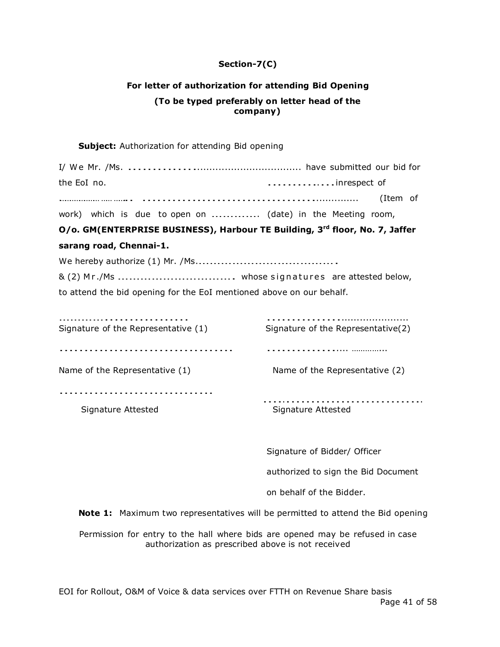# **Section-7(C)**

# **For letter of authorization for attending Bid Opening (To be typed preferably on letter head of the company)**

#### **Subject:** Authorization for attending Bid opening

| the EoI no. |  |  |                                                            | inrespect of |  |  |
|-------------|--|--|------------------------------------------------------------|--------------|--|--|
|             |  |  |                                                            |              |  |  |
|             |  |  | work) which is due to open on  (date) in the Meeting room, |              |  |  |

# **O/o. GM(ENTERPRISE BUSINESS), Harbour TE Building, 3rd floor, No. 7, Jaffer**

#### **sarang road, Chennai-1.**

We hereby authorize (1) Mr. /Ms.……………………………….

& (2) <sup>M</sup> <sup>r</sup> ./Ms …………………………. whose <sup>s</sup> ign <sup>a</sup> tu <sup>r</sup> <sup>e</sup> s are attested below, to attend the bid opening for the EoI mentioned above on our behalf.

| Signature of the Representative (1) | Signature of the Representative(2) |
|-------------------------------------|------------------------------------|
|                                     |                                    |
|                                     |                                    |
| Name of the Representative (1)      | Name of the Representative (2)     |
|                                     |                                    |
|                                     |                                    |
| Signature Attested                  | Signature Attested                 |

Signature of Bidder/ Officer

authorized to sign the Bid Document

on behalf of the Bidder.

**Note 1:** Maximum two representatives will be permitted to attend the Bid opening

Permission for entry to the hall where bids are opened may be refused in case authorization as prescribed above is not received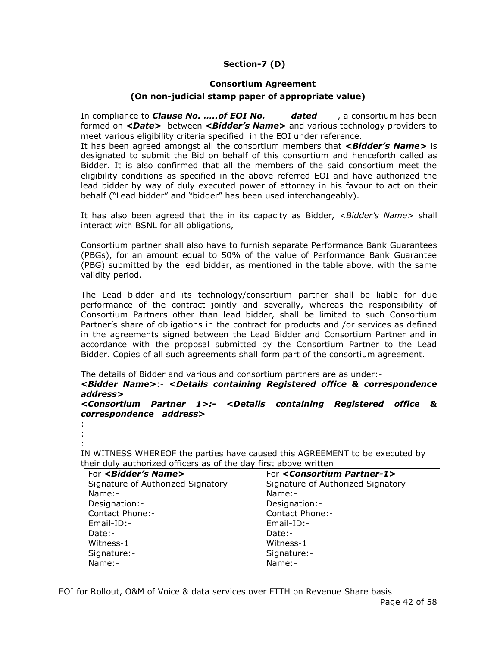# **Section-7 (D)**

#### **Consortium Agreement**

#### **(On non-judicial stamp paper of appropriate value)**

In compliance to *Clause No. …..of EOI No. dated* , a consortium has been formed on *<Date>* between *<Bidder's Name>* and various technology providers to meet various eligibility criteria specified in the EOI under reference.

It has been agreed amongst all the consortium members that *<Bidder's Name>* is designated to submit the Bid on behalf of this consortium and henceforth called as Bidder. It is also confirmed that all the members of the said consortium meet the eligibility conditions as specified in the above referred EOI and have authorized the lead bidder by way of duly executed power of attorney in his favour to act on their behalf ("Lead bidder" and "bidder" has been used interchangeably).

It has also been agreed that the in its capacity as Bidder, *<Bidder's Name>* shall interact with BSNL for all obligations,

Consortium partner shall also have to furnish separate Performance Bank Guarantees (PBGs), for an amount equal to 50% of the value of Performance Bank Guarantee (PBG) submitted by the lead bidder, as mentioned in the table above, with the same validity period.

The Lead bidder and its technology/consortium partner shall be liable for due performance of the contract jointly and severally, whereas the responsibility of Consortium Partners other than lead bidder, shall be limited to such Consortium Partner's share of obligations in the contract for products and /or services as defined in the agreements signed between the Lead Bidder and Consortium Partner and in accordance with the proposal submitted by the Consortium Partner to the Lead Bidder. Copies of all such agreements shall form part of the consortium agreement.

The details of Bidder and various and consortium partners are as under:-

*<Bidder Name>*:- *<Details containing Registered office & correspondence address>*

*<Consortium Partner 1>:- <Details containing Registered office & correspondence address>*

:

```
:
:
```
IN WITNESS WHEREOF the parties have caused this AGREEMENT to be executed by their duly authorized officers as of the day first above written

| For <bidder's name=""></bidder's> | For <consortium partner-1=""></consortium> |
|-----------------------------------|--------------------------------------------|
| Signature of Authorized Signatory | Signature of Authorized Signatory          |
| $Name: -$                         | Name:-                                     |
| Designation:-                     | Designation:-                              |
| Contact Phone:-                   | Contact Phone:-                            |
| $Email-ID: -$                     | $Email-ID: -$                              |
| Date:-                            | Date:-                                     |
| Witness-1                         | Witness-1                                  |
| Signature:-                       | Signature:-                                |
| Name:-                            | Name:-                                     |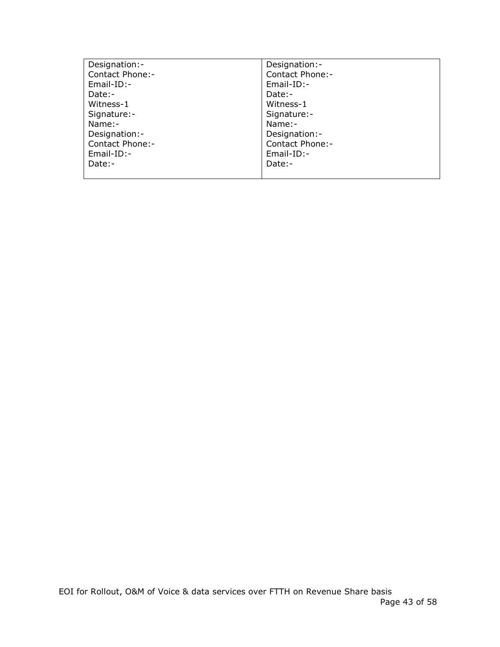| Designation:-   | Designation:-          |
|-----------------|------------------------|
| Contact Phone:- | <b>Contact Phone:-</b> |
| $Email-ID: -$   | $Email-ID: -$          |
| Date:-          | Date:-                 |
| Witness-1       | Witness-1              |
| Signature:-     | Signature:-            |
| Name:-          | Name:-                 |
| Designation:-   | Designation:-          |
| Contact Phone:- | <b>Contact Phone:-</b> |
| $Email-ID: -$   | Email-ID:-             |
| Date:-          | Date:-                 |
|                 |                        |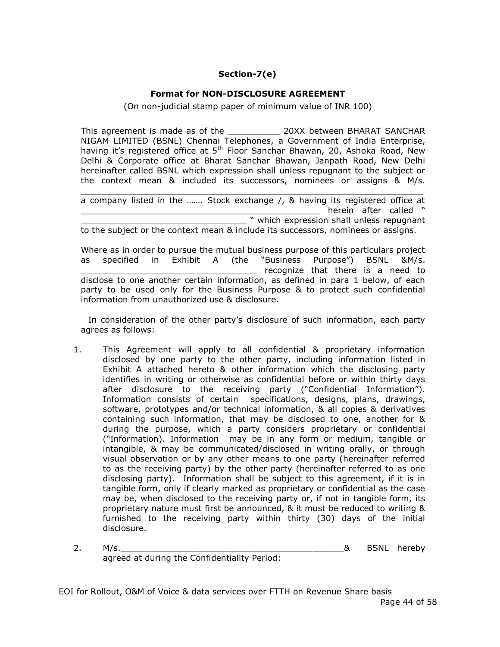# **Section-7(e)**

# **Format for NON-DISCLOSURE AGREEMENT**

(On non-judicial stamp paper of minimum value of INR 100)

This agreement is made as of the \_\_\_\_\_\_\_\_\_\_ 20XX between BHARAT SANCHAR NIGAM LIMITED (BSNL) Chennai Telephones, a Government of India Enterprise, having it's registered office at 5<sup>th</sup> Floor Sanchar Bhawan, 20, Ashoka Road, New Delhi & Corporate office at Bharat Sanchar Bhawan, Janpath Road, New Delhi hereinafter called BSNL which expression shall unless repugnant to the subject or the context mean & included its successors, nominees or assigns & M/s.

 $\_$  , and the set of the set of the set of the set of the set of the set of the set of the set of the set of the set of the set of the set of the set of the set of the set of the set of the set of the set of the set of th a company listed in the ……. Stock exchange /, & having its registered office at herein after called " \_\_\_\_\_\_\_\_\_\_\_\_\_\_\_\_\_\_\_\_\_\_\_\_\_\_\_\_\_\_\_\_ " which expression shall unless repugnant

to the subject or the context mean & include its successors, nominees or assigns.

Where as in order to pursue the mutual business purpose of this particulars project as specified in Exhibit A (the "Business Purpose") BSNL &M/s. \_\_\_\_\_\_\_\_\_\_\_\_\_\_\_\_\_\_\_\_\_\_\_\_\_\_\_\_\_\_\_\_\_\_ recognize that there is a need to disclose to one another certain information, as defined in para 1 below, of each party to be used only for the Business Purpose & to protect such confidential information from unauthorized use & disclosure.

In consideration of the other party's disclosure of such information, each party agrees as follows:

- 1. This Agreement will apply to all confidential & proprietary information disclosed by one party to the other party, including information listed in Exhibit A attached hereto & other information which the disclosing party identifies in writing or otherwise as confidential before or within thirty days after disclosure to the receiving party ("Confidential Information"). Information consists of certain specifications, designs, plans, drawings, software, prototypes and/or technical information, & all copies & derivatives containing such information, that may be disclosed to one, another for & during the purpose, which a party considers proprietary or confidential ("Information). Information may be in any form or medium, tangible or intangible, & may be communicated/disclosed in writing orally, or through visual observation or by any other means to one party (hereinafter referred to as the receiving party) by the other party (hereinafter referred to as one disclosing party). Information shall be subject to this agreement, if it is in tangible form, only if clearly marked as proprietary or confidential as the case may be, when disclosed to the receiving party or, if not in tangible form, its proprietary nature must first be announced, & it must be reduced to writing & furnished to the receiving party within thirty (30) days of the initial disclosure.
- 2. M/s. **M/s.** The control of the control of the control of the control of the control of the control of the control of the control of the control of the control of the control of the control of the control of the control agreed at during the Confidentiality Period: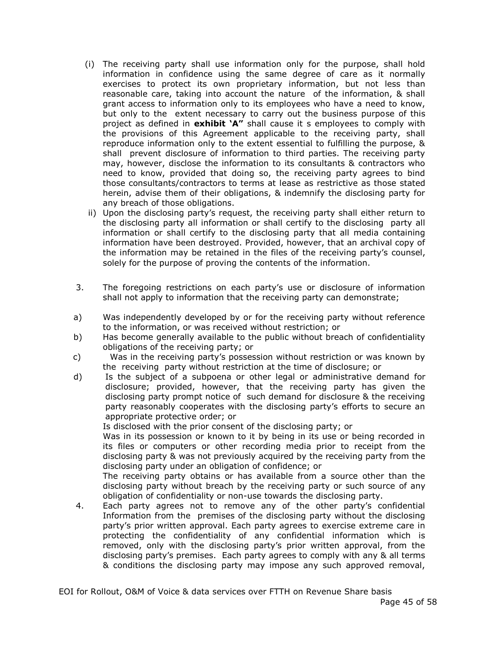- (i) The receiving party shall use information only for the purpose, shall hold information in confidence using the same degree of care as it normally exercises to protect its own proprietary information, but not less than reasonable care, taking into account the nature of the information, & shall grant access to information only to its employees who have a need to know, but only to the extent necessary to carry out the business purpose of this project as defined in **exhibit 'A"** shall cause it s employees to comply with the provisions of this Agreement applicable to the receiving party, shall reproduce information only to the extent essential to fulfilling the purpose, & shall prevent disclosure of information to third parties. The receiving party may, however, disclose the information to its consultants & contractors who need to know, provided that doing so, the receiving party agrees to bind those consultants/contractors to terms at lease as restrictive as those stated herein, advise them of their obligations, & indemnify the disclosing party for any breach of those obligations.
- ii) Upon the disclosing party's request, the receiving party shall either return to the disclosing party all information or shall certify to the disclosing party all information or shall certify to the disclosing party that all media containing information have been destroyed. Provided, however, that an archival copy of the information may be retained in the files of the receiving party's counsel, solely for the purpose of proving the contents of the information.
- 3. The foregoing restrictions on each party's use or disclosure of information shall not apply to information that the receiving party can demonstrate;
- a) Was independently developed by or for the receiving party without reference to the information, or was received without restriction; or
- b) Has become generally available to the public without breach of confidentiality obligations of the receiving party; or
- c) Was in the receiving party's possession without restriction or was known by the receiving party without restriction at the time of disclosure; or
- d) Is the subject of a subpoena or other legal or administrative demand for disclosure; provided, however, that the receiving party has given the disclosing party prompt notice of such demand for disclosure & the receiving party reasonably cooperates with the disclosing party's efforts to secure an appropriate protective order; or

Is disclosed with the prior consent of the disclosing party; or

Was in its possession or known to it by being in its use or being recorded in its files or computers or other recording media prior to receipt from the disclosing party & was not previously acquired by the receiving party from the disclosing party under an obligation of confidence; or

The receiving party obtains or has available from a source other than the disclosing party without breach by the receiving party or such source of any obligation of confidentiality or non-use towards the disclosing party.

 4. Each party agrees not to remove any of the other party's confidential Information from the premises of the disclosing party without the disclosing party's prior written approval. Each party agrees to exercise extreme care in protecting the confidentiality of any confidential information which is removed, only with the disclosing party's prior written approval, from the disclosing party's premises. Each party agrees to comply with any & all terms & conditions the disclosing party may impose any such approved removal,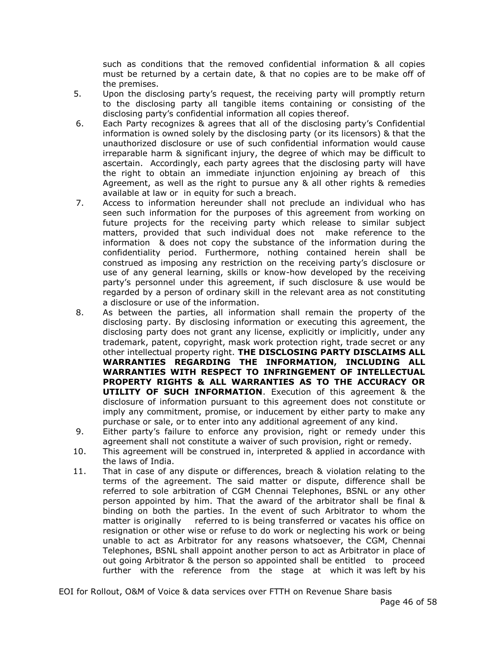such as conditions that the removed confidential information & all copies must be returned by a certain date, & that no copies are to be make off of the premises.

- 5. Upon the disclosing party's request, the receiving party will promptly return to the disclosing party all tangible items containing or consisting of the disclosing party's confidential information all copies thereof.
- 6. Each Party recognizes & agrees that all of the disclosing party's Confidential information is owned solely by the disclosing party (or its licensors) & that the unauthorized disclosure or use of such confidential information would cause irreparable harm & significant injury, the degree of which may be difficult to ascertain. Accordingly, each party agrees that the disclosing party will have the right to obtain an immediate injunction enjoining ay breach of this Agreement, as well as the right to pursue any & all other rights & remedies available at law or in equity for such a breach.
- 7. Access to information hereunder shall not preclude an individual who has seen such information for the purposes of this agreement from working on future projects for the receiving party which release to similar subject matters, provided that such individual does not make reference to the information & does not copy the substance of the information during the confidentiality period. Furthermore, nothing contained herein shall be construed as imposing any restriction on the receiving party's disclosure or use of any general learning, skills or know-how developed by the receiving party's personnel under this agreement, if such disclosure & use would be regarded by a person of ordinary skill in the relevant area as not constituting a disclosure or use of the information.
- 8. As between the parties, all information shall remain the property of the disclosing party. By disclosing information or executing this agreement, the disclosing party does not grant any license, explicitly or implicitly, under any trademark, patent, copyright, mask work protection right, trade secret or any other intellectual property right. **THE DISCLOSING PARTY DISCLAIMS ALL WARRANTIES REGARDING THE INFORMATION, INCLUDING ALL WARRANTIES WITH RESPECT TO INFRINGEMENT OF INTELLECTUAL PROPERTY RIGHTS & ALL WARRANTIES AS TO THE ACCURACY OR UTILITY OF SUCH INFORMATION**. Execution of this agreement & the disclosure of information pursuant to this agreement does not constitute or imply any commitment, promise, or inducement by either party to make any purchase or sale, or to enter into any additional agreement of any kind.
- 9. Either party's failure to enforce any provision, right or remedy under this agreement shall not constitute a waiver of such provision, right or remedy.
- 10. This agreement will be construed in, interpreted & applied in accordance with the laws of India.
- 11. That in case of any dispute or differences, breach & violation relating to the terms of the agreement. The said matter or dispute, difference shall be referred to sole arbitration of CGM Chennai Telephones, BSNL or any other person appointed by him. That the award of the arbitrator shall be final & binding on both the parties. In the event of such Arbitrator to whom the matter is originally referred to is being transferred or vacates his office on resignation or other wise or refuse to do work or neglecting his work or being unable to act as Arbitrator for any reasons whatsoever, the CGM, Chennai Telephones, BSNL shall appoint another person to act as Arbitrator in place of out going Arbitrator & the person so appointed shall be entitled to proceed further with the reference from the stage at which it was left by his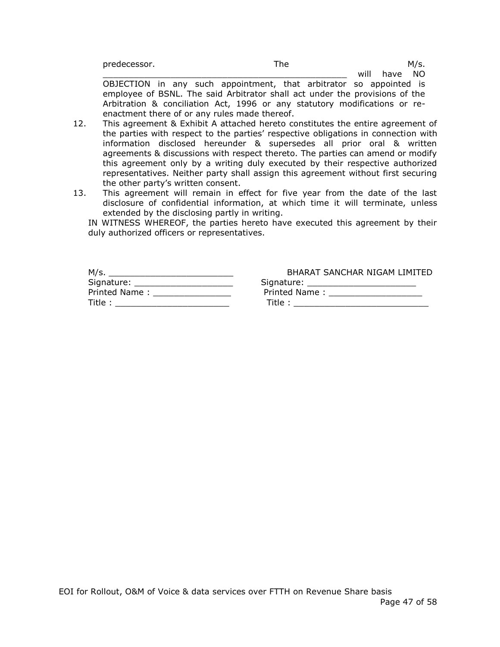| predecessor. | The |   |          | M/s. |  |
|--------------|-----|---|----------|------|--|
|              |     | . | $k = 12$ |      |  |

will have NO OBJECTION in any such appointment, that arbitrator so appointed is employee of BSNL. The said Arbitrator shall act under the provisions of the Arbitration & conciliation Act, 1996 or any statutory modifications or reenactment there of or any rules made thereof.

- 12. This agreement & Exhibit A attached hereto constitutes the entire agreement of the parties with respect to the parties' respective obligations in connection with information disclosed hereunder & supersedes all prior oral & written agreements & discussions with respect thereto. The parties can amend or modify this agreement only by a writing duly executed by their respective authorized representatives. Neither party shall assign this agreement without first securing the other party's written consent.
- 13. This agreement will remain in effect for five year from the date of the last disclosure of confidential information, at which time it will terminate, unless extended by the disclosing partly in writing.

IN WITNESS WHEREOF, the parties hereto have executed this agreement by their duly authorized officers or representatives.

NIGAM LIMITED

| M/s.                              | BHARAT SANCHAR NIGAM LIMITEI                                                                                                                                                                                                   |
|-----------------------------------|--------------------------------------------------------------------------------------------------------------------------------------------------------------------------------------------------------------------------------|
| Signature: ______________________ | Signature: _______________________                                                                                                                                                                                             |
| Printed Name:                     | Printed Name: The Service of the Service of the Service of the Service of the Service of the Service of the Service of the Service of the Service of the Service of the Service of the Service of the Service of the Service o |
| Title:                            | Title :                                                                                                                                                                                                                        |

| EOI for Rollout, O&M of Voice & data services over FTTH on Revenue Share basis |  |  |  |               |  |
|--------------------------------------------------------------------------------|--|--|--|---------------|--|
|                                                                                |  |  |  | Page 47 of 58 |  |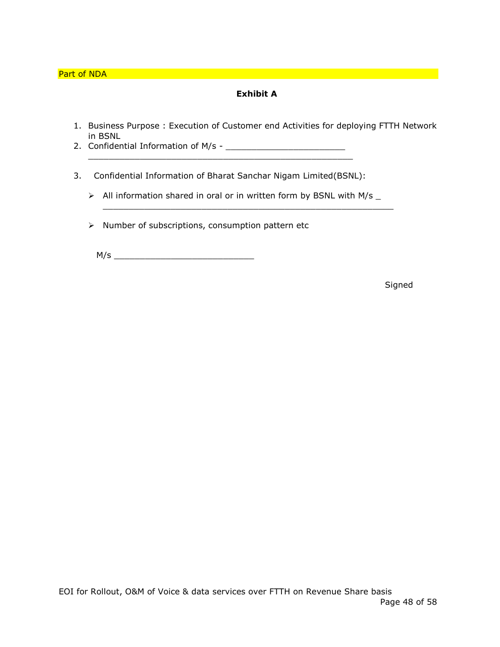# **Exhibit A**

- 1. Business Purpose : Execution of Customer end Activities for deploying FTTH Network in BSNL
- 2. Confidential Information of M/s \_\_\_\_\_\_\_\_\_\_\_\_\_\_\_\_\_\_\_\_\_\_\_ \_\_\_\_\_\_\_\_\_\_\_\_\_\_\_\_\_\_\_\_\_\_\_\_\_\_\_\_\_\_\_\_\_\_\_\_\_\_\_\_\_\_\_\_\_\_\_\_\_\_\_
- 3. Confidential Information of Bharat Sanchar Nigam Limited(BSNL):
	- $\triangleright$  All information shared in oral or in written form by BSNL with M/s  $\_$

\_\_\_\_\_\_\_\_\_\_\_\_\_\_\_\_\_\_\_\_\_\_\_\_\_\_\_\_\_\_\_\_\_\_\_\_\_\_\_\_\_\_\_\_\_\_\_\_\_\_\_\_\_\_\_\_

 $\triangleright$  Number of subscriptions, consumption pattern etc

M/s \_\_\_\_\_\_\_\_\_\_\_\_\_\_\_\_\_\_\_\_\_\_\_\_\_\_\_

Signed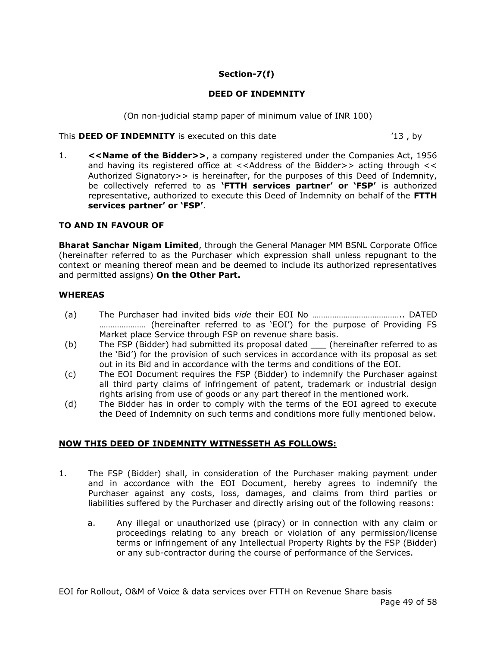# **Section-7(f)**

# **DEED OF INDEMNITY**

(On non-judicial stamp paper of minimum value of INR 100)

This **DEED OF INDEMNITY** is executed on this date '13 , by

1. **<<Name of the Bidder>>**, a company registered under the Companies Act, 1956 and having its registered office at  $\lt$  < Address of the Bidder>> acting through  $\lt$ Authorized Signatory>> is hereinafter, for the purposes of this Deed of Indemnity, be collectively referred to as **'FTTH services partner' or 'FSP'** is authorized representative, authorized to execute this Deed of Indemnity on behalf of the **FTTH services partner' or 'FSP'**.

# **TO AND IN FAVOUR OF**

**Bharat Sanchar Nigam Limited**, through the General Manager MM BSNL Corporate Office (hereinafter referred to as the Purchaser which expression shall unless repugnant to the context or meaning thereof mean and be deemed to include its authorized representatives and permitted assigns) **On the Other Part.**

# **WHEREAS**

- (a) The Purchaser had invited bids *vide* their EOI No ………………………………….. DATED ………………… (hereinafter referred to as 'EOI') for the purpose of Providing FS Market place Service through FSP on revenue share basis.
- (b) The FSP (Bidder) had submitted its proposal dated \_\_\_ (hereinafter referred to as the 'Bid') for the provision of such services in accordance with its proposal as set out in its Bid and in accordance with the terms and conditions of the EOI.
- (c) The EOI Document requires the FSP (Bidder) to indemnify the Purchaser against all third party claims of infringement of patent, trademark or industrial design rights arising from use of goods or any part thereof in the mentioned work.
- (d) The Bidder has in order to comply with the terms of the EOI agreed to execute the Deed of Indemnity on such terms and conditions more fully mentioned below.

# **NOW THIS DEED OF INDEMNITY WITNESSETH AS FOLLOWS:**

- 1. The FSP (Bidder) shall, in consideration of the Purchaser making payment under and in accordance with the EOI Document, hereby agrees to indemnify the Purchaser against any costs, loss, damages, and claims from third parties or liabilities suffered by the Purchaser and directly arising out of the following reasons:
	- a. Any illegal or unauthorized use (piracy) or in connection with any claim or proceedings relating to any breach or violation of any permission/license terms or infringement of any Intellectual Property Rights by the FSP (Bidder) or any sub-contractor during the course of performance of the Services.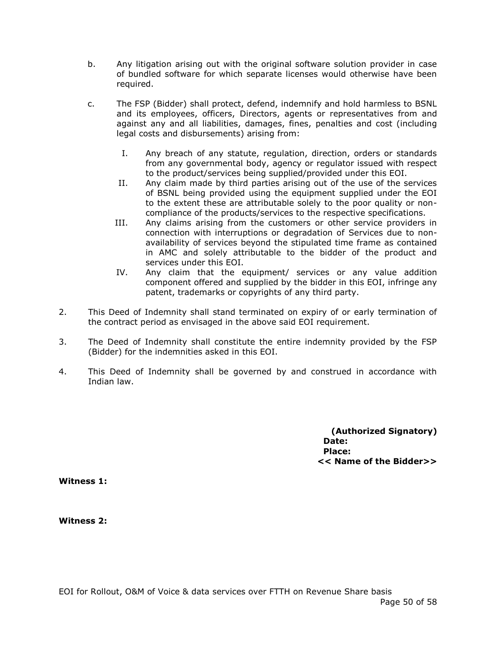- b. Any litigation arising out with the original software solution provider in case of bundled software for which separate licenses would otherwise have been required.
- c. The FSP (Bidder) shall protect, defend, indemnify and hold harmless to BSNL and its employees, officers, Directors, agents or representatives from and against any and all liabilities, damages, fines, penalties and cost (including legal costs and disbursements) arising from:
	- I. Any breach of any statute, regulation, direction, orders or standards from any governmental body, agency or regulator issued with respect to the product/services being supplied/provided under this EOI.
	- II. Any claim made by third parties arising out of the use of the services of BSNL being provided using the equipment supplied under the EOI to the extent these are attributable solely to the poor quality or noncompliance of the products/services to the respective specifications.
	- III. Any claims arising from the customers or other service providers in connection with interruptions or degradation of Services due to nonavailability of services beyond the stipulated time frame as contained in AMC and solely attributable to the bidder of the product and services under this EOI.
	- IV. Any claim that the equipment/ services or any value addition component offered and supplied by the bidder in this EOI, infringe any patent, trademarks or copyrights of any third party.
- 2. This Deed of Indemnity shall stand terminated on expiry of or early termination of the contract period as envisaged in the above said EOI requirement.
- 3. The Deed of Indemnity shall constitute the entire indemnity provided by the FSP (Bidder) for the indemnities asked in this EOI.
- 4. This Deed of Indemnity shall be governed by and construed in accordance with Indian law.

**(Authorized Signatory) Date: Place: << Name of the Bidder>>**

**Witness 1:**

**Witness 2:**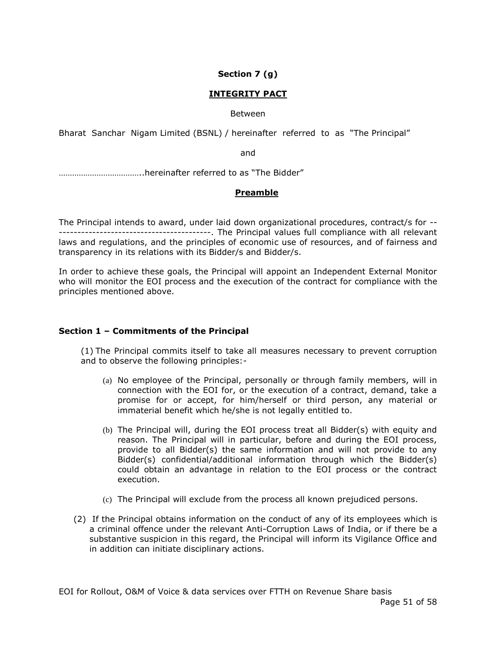# **Section 7 (g)**

# **INTEGRITY PACT**

#### Between

Bharat Sanchar Nigam Limited (BSNL) / hereinafter referred to as "The Principal"

and

………………………………..hereinafter referred to as "The Bidder"

# **Preamble**

The Principal intends to award, under laid down organizational procedures, contract/s for -- -----------------------------------------. The Principal values full compliance with all relevant laws and regulations, and the principles of economic use of resources, and of fairness and transparency in its relations with its Bidder/s and Bidder/s.

In order to achieve these goals, the Principal will appoint an Independent External Monitor who will monitor the EOI process and the execution of the contract for compliance with the principles mentioned above.

#### **Section 1 – Commitments of the Principal**

(1) The Principal commits itself to take all measures necessary to prevent corruption and to observe the following principles:-

- (a) No employee of the Principal, personally or through family members, will in connection with the EOI for, or the execution of a contract, demand, take a promise for or accept, for him/herself or third person, any material or immaterial benefit which he/she is not legally entitled to.
- (b) The Principal will, during the EOI process treat all Bidder(s) with equity and reason. The Principal will in particular, before and during the EOI process, provide to all Bidder(s) the same information and will not provide to any Bidder(s) confidential/additional information through which the Bidder(s) could obtain an advantage in relation to the EOI process or the contract execution.
- (c) The Principal will exclude from the process all known prejudiced persons.
- (2) If the Principal obtains information on the conduct of any of its employees which is a criminal offence under the relevant Anti-Corruption Laws of India, or if there be a substantive suspicion in this regard, the Principal will inform its Vigilance Office and in addition can initiate disciplinary actions.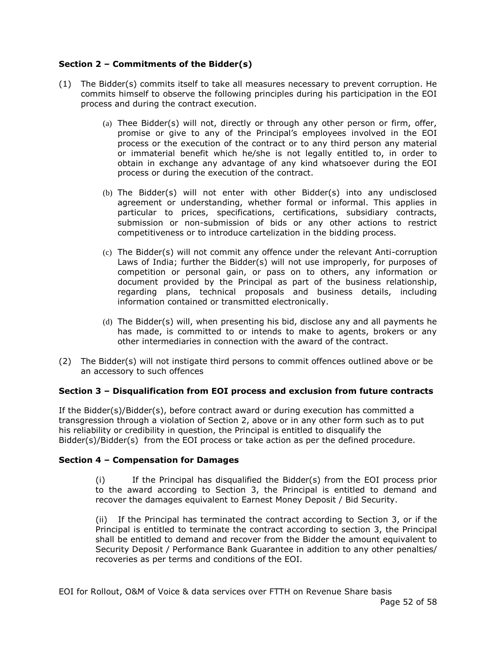# **Section 2 – Commitments of the Bidder(s)**

- (1) The Bidder(s) commits itself to take all measures necessary to prevent corruption. He commits himself to observe the following principles during his participation in the EOI process and during the contract execution.
	- (a) Thee Bidder(s) will not, directly or through any other person or firm, offer, promise or give to any of the Principal's employees involved in the EOI process or the execution of the contract or to any third person any material or immaterial benefit which he/she is not legally entitled to, in order to obtain in exchange any advantage of any kind whatsoever during the EOI process or during the execution of the contract.
	- (b) The Bidder(s) will not enter with other Bidder(s) into any undisclosed agreement or understanding, whether formal or informal. This applies in particular to prices, specifications, certifications, subsidiary contracts, submission or non-submission of bids or any other actions to restrict competitiveness or to introduce cartelization in the bidding process.
	- (c) The Bidder(s) will not commit any offence under the relevant Anti-corruption Laws of India; further the Bidder(s) will not use improperly, for purposes of competition or personal gain, or pass on to others, any information or document provided by the Principal as part of the business relationship, regarding plans, technical proposals and business details, including information contained or transmitted electronically.
	- (d) The Bidder(s) will, when presenting his bid, disclose any and all payments he has made, is committed to or intends to make to agents, brokers or any other intermediaries in connection with the award of the contract.
- (2) The Bidder(s) will not instigate third persons to commit offences outlined above or be an accessory to such offences

#### **Section 3 – Disqualification from EOI process and exclusion from future contracts**

If the Bidder(s)/Bidder(s), before contract award or during execution has committed a transgression through a violation of Section 2, above or in any other form such as to put his reliability or credibility in question, the Principal is entitled to disqualify the Bidder(s)/Bidder(s) from the EOI process or take action as per the defined procedure.

#### **Section 4 – Compensation for Damages**

(i) If the Principal has disqualified the Bidder(s) from the EOI process prior to the award according to Section 3, the Principal is entitled to demand and recover the damages equivalent to Earnest Money Deposit / Bid Security.

(ii) If the Principal has terminated the contract according to Section 3, or if the Principal is entitled to terminate the contract according to section 3, the Principal shall be entitled to demand and recover from the Bidder the amount equivalent to Security Deposit / Performance Bank Guarantee in addition to any other penalties/ recoveries as per terms and conditions of the EOI.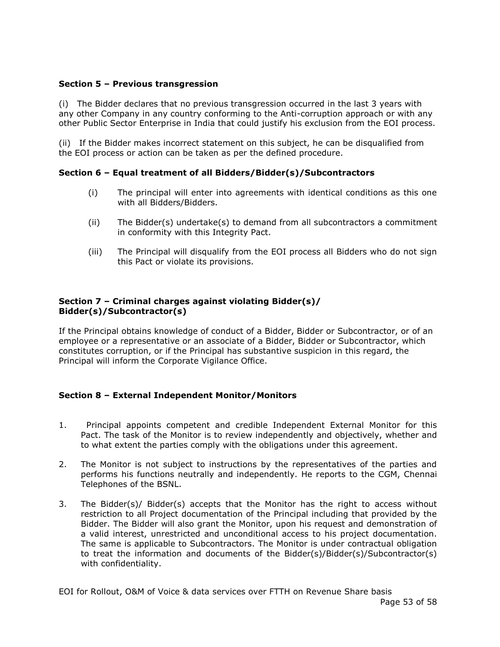### **Section 5 – Previous transgression**

(i) The Bidder declares that no previous transgression occurred in the last 3 years with any other Company in any country conforming to the Anti-corruption approach or with any other Public Sector Enterprise in India that could justify his exclusion from the EOI process.

(ii) If the Bidder makes incorrect statement on this subject, he can be disqualified from the EOI process or action can be taken as per the defined procedure.

# **Section 6 – Equal treatment of all Bidders/Bidder(s)/Subcontractors**

- (i) The principal will enter into agreements with identical conditions as this one with all Bidders/Bidders.
- (ii) The Bidder(s) undertake(s) to demand from all subcontractors a commitment in conformity with this Integrity Pact.
- (iii) The Principal will disqualify from the EOI process all Bidders who do not sign this Pact or violate its provisions.

#### **Section 7 – Criminal charges against violating Bidder(s)/ Bidder(s)/Subcontractor(s)**

If the Principal obtains knowledge of conduct of a Bidder, Bidder or Subcontractor, or of an employee or a representative or an associate of a Bidder, Bidder or Subcontractor, which constitutes corruption, or if the Principal has substantive suspicion in this regard, the Principal will inform the Corporate Vigilance Office.

# **Section 8 – External Independent Monitor/Monitors**

- 1. Principal appoints competent and credible Independent External Monitor for this Pact. The task of the Monitor is to review independently and objectively, whether and to what extent the parties comply with the obligations under this agreement.
- 2. The Monitor is not subject to instructions by the representatives of the parties and performs his functions neutrally and independently. He reports to the CGM, Chennai Telephones of the BSNL.
- 3. The Bidder(s)/ Bidder(s) accepts that the Monitor has the right to access without restriction to all Project documentation of the Principal including that provided by the Bidder. The Bidder will also grant the Monitor, upon his request and demonstration of a valid interest, unrestricted and unconditional access to his project documentation. The same is applicable to Subcontractors. The Monitor is under contractual obligation to treat the information and documents of the Bidder(s)/Bidder(s)/Subcontractor(s) with confidentiality.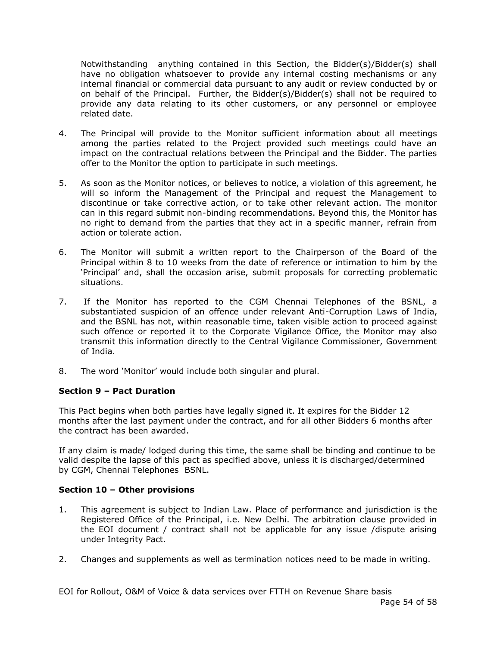Notwithstanding anything contained in this Section, the Bidder(s)/Bidder(s) shall have no obligation whatsoever to provide any internal costing mechanisms or any internal financial or commercial data pursuant to any audit or review conducted by or on behalf of the Principal. Further, the Bidder(s)/Bidder(s) shall not be required to provide any data relating to its other customers, or any personnel or employee related date.

- 4. The Principal will provide to the Monitor sufficient information about all meetings among the parties related to the Project provided such meetings could have an impact on the contractual relations between the Principal and the Bidder. The parties offer to the Monitor the option to participate in such meetings.
- 5. As soon as the Monitor notices, or believes to notice, a violation of this agreement, he will so inform the Management of the Principal and request the Management to discontinue or take corrective action, or to take other relevant action. The monitor can in this regard submit non-binding recommendations. Beyond this, the Monitor has no right to demand from the parties that they act in a specific manner, refrain from action or tolerate action.
- 6. The Monitor will submit a written report to the Chairperson of the Board of the Principal within 8 to 10 weeks from the date of reference or intimation to him by the 'Principal' and, shall the occasion arise, submit proposals for correcting problematic situations.
- 7. If the Monitor has reported to the CGM Chennai Telephones of the BSNL, a substantiated suspicion of an offence under relevant Anti-Corruption Laws of India, and the BSNL has not, within reasonable time, taken visible action to proceed against such offence or reported it to the Corporate Vigilance Office, the Monitor may also transmit this information directly to the Central Vigilance Commissioner, Government of India.
- 8. The word 'Monitor' would include both singular and plural.

# **Section 9 – Pact Duration**

This Pact begins when both parties have legally signed it. It expires for the Bidder 12 months after the last payment under the contract, and for all other Bidders 6 months after the contract has been awarded.

If any claim is made/ lodged during this time, the same shall be binding and continue to be valid despite the lapse of this pact as specified above, unless it is discharged/determined by CGM, Chennai Telephones BSNL.

#### **Section 10 – Other provisions**

- 1. This agreement is subject to Indian Law. Place of performance and jurisdiction is the Registered Office of the Principal, i.e. New Delhi. The arbitration clause provided in the EOI document / contract shall not be applicable for any issue /dispute arising under Integrity Pact.
- 2. Changes and supplements as well as termination notices need to be made in writing.

EOI for Rollout, O&M of Voice & data services over FTTH on Revenue Share basis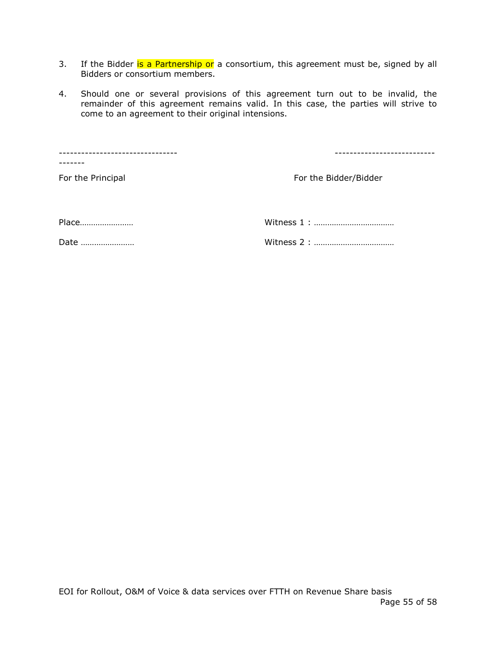- 3. If the Bidder is a Partnership or a consortium, this agreement must be, signed by all Bidders or consortium members.
- 4. Should one or several provisions of this agreement turn out to be invalid, the remainder of this agreement remains valid. In this case, the parties will strive to come to an agreement to their original intensions.

-------------------------------- --------------------------- ------- For the Principal For the Bidder/Bidder Place…………………… Witness 1 : ………………………………

Date …………………… Witness 2 : ………………………………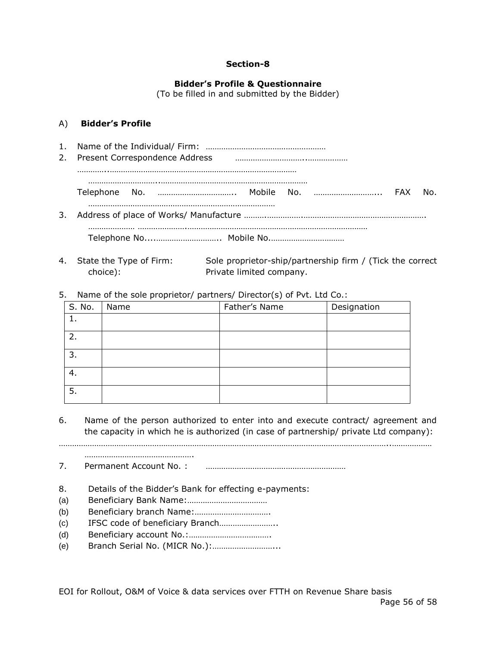#### **Section-8**

#### **Bidder's Profile & Questionnaire**

(To be filled in and submitted by the Bidder)

#### A) **Bidder's Profile**

- 1. Name of the Individual/ Firm: ……………………………………………… 2. Present Correspondence Address …………………………..……………… …………..………………………………………………………………………… …………………………..………………………………………………………… Telephone No. …………………………….. Mobile No. ………………………... FAX No. ………………………………………………………………………… 3. Address of place of Works/ Manufacture ……….…………….………………………………………………. ………………… ………………….……………………………………………………………………… Telephone No....……………………….. Mobile No.……………………………
- 4. State the Type of Firm: Sole proprietor-ship/partnership firm / (Tick the correct choice): Private limited company.
- 5. Name of the sole proprietor/ partners/ Director(s) of Pvt. Ltd Co.:

|        | $\sim$ $\sim$ | $\sim$        |             |
|--------|---------------|---------------|-------------|
| S. No. | Name          | Father's Name | Designation |
|        |               |               |             |
| 2.     |               |               |             |
| 3.     |               |               |             |
| 4.     |               |               |             |
| 5.     |               |               |             |

6. Name of the person authorized to enter into and execute contract/ agreement and the capacity in which he is authorized (in case of partnership/ private Ltd company):

…………………………………………………………………………………………………………………………………..………………

7. Permanent Account No. : ………………………………………………………

- 8. Details of the Bidder's Bank for effecting e-payments:
- (a) Beneficiary Bank Name:………………………………

………………………………………….

- (b) Beneficiary branch Name:…………………………….
- (c) IFSC code of beneficiary Branch……………………..
- (d) Beneficiary account No.:……………………………….
- (e) Branch Serial No. (MICR No.):………………………...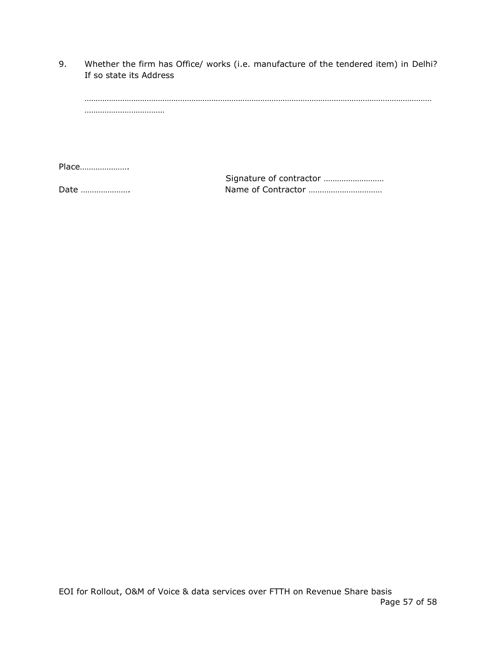9. Whether the firm has Office/ works (i.e. manufacture of the tendered item) in Delhi? If so state its Address

Place………………….

 Signature of contractor ……………………… Date …………………. Name of Contractor ……………………………